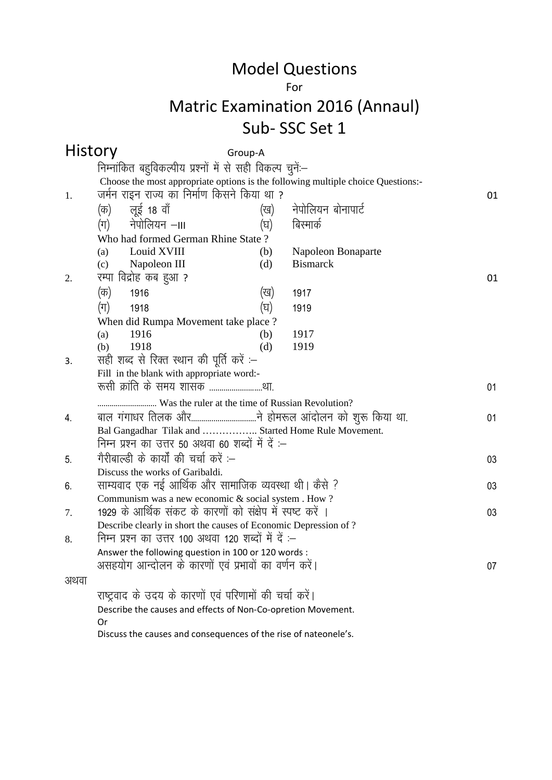#### For

# Matric Examination 2016 (Annaul) Sub- SSC Set 1

| <b>History</b><br>निम्नांकित बहुविकल्पीय प्रश्नों में से सही विकल्प चुनें:--<br>Choose the most appropriate options is the following multiple choice Questions:-<br>जर्मन राइन राज्य का निर्माण किसने किया था ?<br>1.<br>01<br>लूई 18 वॉ<br>नेपोलियन बोनापार्ट<br>(क)<br>(ख)<br>नेपोलियन –।॥<br>बिस्मार्क<br>(ग)<br>(घ)<br>Who had formed German Rhine State?<br>Louid XVIII<br>(b)<br>Napoleon Bonaparte<br>(a)<br>Napoleon III<br><b>Bismarck</b><br>(d)<br>(c)<br>रम्पा विद्रोह कब हुआ ?<br>2.<br>01<br>(क)<br>1916<br>(ख)<br>1917<br>$(\pi)$<br>(घ)<br>1918<br>1919<br>When did Rumpa Movement take place?<br>1916<br>1917<br>(a)<br>(b)<br>1918<br>1919<br>(d)<br>(b)<br>सही शब्द से रिक्त स्थान की पूर्ति करें :-<br>3.<br>Fill in the blank with appropriate word:-<br>रूसी क्रांति के समय शासक था.<br>01<br>01<br>4.<br>Bal Gangadhar Tilak and  Started Home Rule Movement.<br>निम्न प्रश्न का उत्तर 50 अथवा 60 शब्दों में दें :-<br>गैरीबाल्डी के कार्यों की चर्चा करें :--<br>5.<br>03 |
|---------------------------------------------------------------------------------------------------------------------------------------------------------------------------------------------------------------------------------------------------------------------------------------------------------------------------------------------------------------------------------------------------------------------------------------------------------------------------------------------------------------------------------------------------------------------------------------------------------------------------------------------------------------------------------------------------------------------------------------------------------------------------------------------------------------------------------------------------------------------------------------------------------------------------------------------------------------------------------------------------|
|                                                                                                                                                                                                                                                                                                                                                                                                                                                                                                                                                                                                                                                                                                                                                                                                                                                                                                                                                                                                   |
|                                                                                                                                                                                                                                                                                                                                                                                                                                                                                                                                                                                                                                                                                                                                                                                                                                                                                                                                                                                                   |
|                                                                                                                                                                                                                                                                                                                                                                                                                                                                                                                                                                                                                                                                                                                                                                                                                                                                                                                                                                                                   |
|                                                                                                                                                                                                                                                                                                                                                                                                                                                                                                                                                                                                                                                                                                                                                                                                                                                                                                                                                                                                   |
|                                                                                                                                                                                                                                                                                                                                                                                                                                                                                                                                                                                                                                                                                                                                                                                                                                                                                                                                                                                                   |
|                                                                                                                                                                                                                                                                                                                                                                                                                                                                                                                                                                                                                                                                                                                                                                                                                                                                                                                                                                                                   |
|                                                                                                                                                                                                                                                                                                                                                                                                                                                                                                                                                                                                                                                                                                                                                                                                                                                                                                                                                                                                   |
|                                                                                                                                                                                                                                                                                                                                                                                                                                                                                                                                                                                                                                                                                                                                                                                                                                                                                                                                                                                                   |
|                                                                                                                                                                                                                                                                                                                                                                                                                                                                                                                                                                                                                                                                                                                                                                                                                                                                                                                                                                                                   |
|                                                                                                                                                                                                                                                                                                                                                                                                                                                                                                                                                                                                                                                                                                                                                                                                                                                                                                                                                                                                   |
|                                                                                                                                                                                                                                                                                                                                                                                                                                                                                                                                                                                                                                                                                                                                                                                                                                                                                                                                                                                                   |
|                                                                                                                                                                                                                                                                                                                                                                                                                                                                                                                                                                                                                                                                                                                                                                                                                                                                                                                                                                                                   |
|                                                                                                                                                                                                                                                                                                                                                                                                                                                                                                                                                                                                                                                                                                                                                                                                                                                                                                                                                                                                   |
|                                                                                                                                                                                                                                                                                                                                                                                                                                                                                                                                                                                                                                                                                                                                                                                                                                                                                                                                                                                                   |
|                                                                                                                                                                                                                                                                                                                                                                                                                                                                                                                                                                                                                                                                                                                                                                                                                                                                                                                                                                                                   |
|                                                                                                                                                                                                                                                                                                                                                                                                                                                                                                                                                                                                                                                                                                                                                                                                                                                                                                                                                                                                   |
|                                                                                                                                                                                                                                                                                                                                                                                                                                                                                                                                                                                                                                                                                                                                                                                                                                                                                                                                                                                                   |
|                                                                                                                                                                                                                                                                                                                                                                                                                                                                                                                                                                                                                                                                                                                                                                                                                                                                                                                                                                                                   |
|                                                                                                                                                                                                                                                                                                                                                                                                                                                                                                                                                                                                                                                                                                                                                                                                                                                                                                                                                                                                   |
|                                                                                                                                                                                                                                                                                                                                                                                                                                                                                                                                                                                                                                                                                                                                                                                                                                                                                                                                                                                                   |
|                                                                                                                                                                                                                                                                                                                                                                                                                                                                                                                                                                                                                                                                                                                                                                                                                                                                                                                                                                                                   |
|                                                                                                                                                                                                                                                                                                                                                                                                                                                                                                                                                                                                                                                                                                                                                                                                                                                                                                                                                                                                   |
| Discuss the works of Garibaldi.                                                                                                                                                                                                                                                                                                                                                                                                                                                                                                                                                                                                                                                                                                                                                                                                                                                                                                                                                                   |
| साम्यवाद एक नई आर्थिक और सामाजिक व्यवस्था थी। कैसे ?<br>03<br>6.                                                                                                                                                                                                                                                                                                                                                                                                                                                                                                                                                                                                                                                                                                                                                                                                                                                                                                                                  |
| Communism was a new economic & social system . How ?                                                                                                                                                                                                                                                                                                                                                                                                                                                                                                                                                                                                                                                                                                                                                                                                                                                                                                                                              |
| 1929 के आर्थिक संकट के कारणों को संक्षेप में स्पष्ट करें ।<br>03<br>7.                                                                                                                                                                                                                                                                                                                                                                                                                                                                                                                                                                                                                                                                                                                                                                                                                                                                                                                            |
| Describe clearly in short the causes of Economic Depression of ?                                                                                                                                                                                                                                                                                                                                                                                                                                                                                                                                                                                                                                                                                                                                                                                                                                                                                                                                  |
| निम्न प्रश्न का उत्तर 100 अथवा 120 शब्दों में दें :–<br>8.                                                                                                                                                                                                                                                                                                                                                                                                                                                                                                                                                                                                                                                                                                                                                                                                                                                                                                                                        |
| Answer the following question in 100 or 120 words :                                                                                                                                                                                                                                                                                                                                                                                                                                                                                                                                                                                                                                                                                                                                                                                                                                                                                                                                               |
| असहयोग आन्दोलन के कारणों एवं प्रभावों का वर्णन करें।<br>07                                                                                                                                                                                                                                                                                                                                                                                                                                                                                                                                                                                                                                                                                                                                                                                                                                                                                                                                        |
| अथवा                                                                                                                                                                                                                                                                                                                                                                                                                                                                                                                                                                                                                                                                                                                                                                                                                                                                                                                                                                                              |
| राष्ट्रवाद के उदय के कारणों एवं परिणामों की चर्चा करें।                                                                                                                                                                                                                                                                                                                                                                                                                                                                                                                                                                                                                                                                                                                                                                                                                                                                                                                                           |
| Describe the causes and effects of Non-Co-opretion Movement.                                                                                                                                                                                                                                                                                                                                                                                                                                                                                                                                                                                                                                                                                                                                                                                                                                                                                                                                      |
| 0r<br>Discuss the causes and consequences of the rise of nateonele's.                                                                                                                                                                                                                                                                                                                                                                                                                                                                                                                                                                                                                                                                                                                                                                                                                                                                                                                             |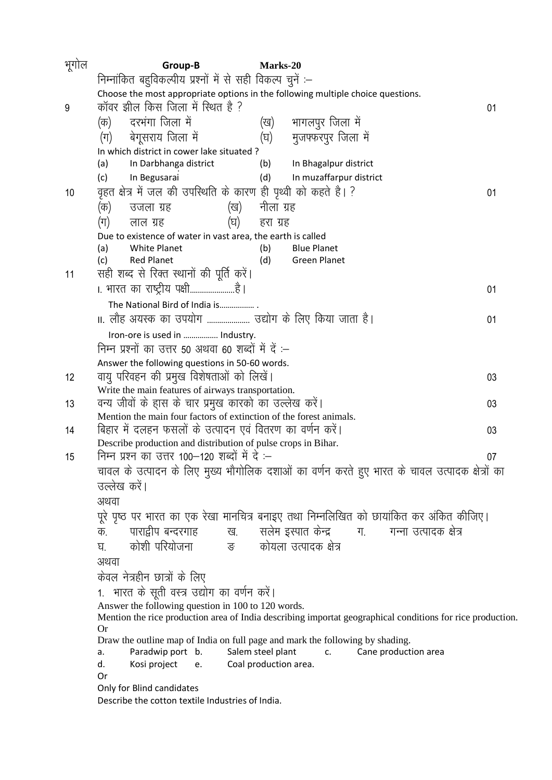| भूगोल | Group-B                                                                                                         | Marks-20              |                                                                                                            |    |  |  |  |
|-------|-----------------------------------------------------------------------------------------------------------------|-----------------------|------------------------------------------------------------------------------------------------------------|----|--|--|--|
|       | निम्नांकित बहुविकल्पीय प्रश्नों में से सही विकल्प चुनें :–                                                      |                       |                                                                                                            |    |  |  |  |
|       | Choose the most appropriate options in the following multiple choice questions.                                 |                       |                                                                                                            |    |  |  |  |
| 9     | कॉवर झील किस जिला में स्थित है ?<br>01                                                                          |                       |                                                                                                            |    |  |  |  |
|       | दरभंगा जिला में<br>(क)                                                                                          |                       | (ख) भागलपुर जिला में                                                                                       |    |  |  |  |
|       | बेगूसराय जिला में<br>$(\pi)$                                                                                    |                       | (घ) मुजफ्फरपुर जिला में                                                                                    |    |  |  |  |
|       | In which district in cower lake situated?                                                                       |                       |                                                                                                            |    |  |  |  |
|       | In Darbhanga district<br>(a)                                                                                    | (b)                   | In Bhagalpur district                                                                                      |    |  |  |  |
|       | In Begusarai<br>(c)                                                                                             | (d)                   | In muzaffarpur district                                                                                    |    |  |  |  |
| 10    | वृहत क्षेत्र में जल की उपस्थिति के कारण ही पृथ्वी को कहते है। ?                                                 |                       |                                                                                                            | 01 |  |  |  |
|       | (क)<br>उजला ग्रह<br>(ख)                                                                                         | नीला ग्रह             |                                                                                                            |    |  |  |  |
|       | (घ)<br>(ग)<br>लाल ग्रह                                                                                          | हरा ग्रह              |                                                                                                            |    |  |  |  |
|       | Due to existence of water in vast area, the earth is called                                                     |                       |                                                                                                            |    |  |  |  |
|       | White Planet<br>(a)                                                                                             | (b)                   | <b>Blue Planet</b>                                                                                         |    |  |  |  |
|       | <b>Red Planet</b><br>(c)                                                                                        | (d)                   | <b>Green Planet</b>                                                                                        |    |  |  |  |
| 11    | सही शब्द से रिक्त स्थानों की पूर्ति करें।                                                                       |                       |                                                                                                            |    |  |  |  |
|       | ।. भारत का राष्ट्रीय पक्षीहै।                                                                                   |                       |                                                                                                            | 01 |  |  |  |
|       | The National Bird of India is                                                                                   |                       |                                                                                                            |    |  |  |  |
|       | II. लौह अयस्क का उपयोग  उद्योग के लिए किया जाता है।                                                             |                       |                                                                                                            | 01 |  |  |  |
|       | Iron-ore is used in  Industry.                                                                                  |                       |                                                                                                            |    |  |  |  |
|       | निम्न प्रश्नों का उत्तर 50 अथवा 60 शब्दों में दें :-                                                            |                       |                                                                                                            |    |  |  |  |
|       | Answer the following questions in 50-60 words.                                                                  |                       |                                                                                                            |    |  |  |  |
| 12    | वायु परिवहन की प्रमुख विशेषताओं को लिखें।                                                                       |                       |                                                                                                            | 03 |  |  |  |
|       | Write the main features of airways transportation.                                                              |                       |                                                                                                            |    |  |  |  |
| 13    | वन्य जीवों के हास के चार प्रमुख कारको का उल्लेख करें।                                                           |                       |                                                                                                            | 03 |  |  |  |
|       | Mention the main four factors of extinction of the forest animals.                                              |                       |                                                                                                            |    |  |  |  |
| 14    | बिहार में दलहन फसलों के उत्पादन एवं वितरण का वर्णन करें।                                                        |                       |                                                                                                            | 03 |  |  |  |
|       | Describe production and distribution of pulse crops in Bihar.<br>निम्न प्रश्न का उत्तर 100—120 शब्दों में दे :— |                       |                                                                                                            |    |  |  |  |
| 15    |                                                                                                                 |                       |                                                                                                            | 07 |  |  |  |
|       |                                                                                                                 |                       | चावल के उत्पादन के लिए मुख्य भौगोलिक दशाओं का वर्णन करते हुए भारत के चावल उत्पादक क्षेत्रों का             |    |  |  |  |
|       | उल्लेख करें।                                                                                                    |                       |                                                                                                            |    |  |  |  |
|       | अथवा                                                                                                            |                       |                                                                                                            |    |  |  |  |
|       |                                                                                                                 |                       | पूरे पृष्ठ पर भारत का एक रेखा मानचित्र बनाइए तथा निम्नलिखित को छायांकित कर अंकित कीजिए।                    |    |  |  |  |
|       | क.                                                                                                              |                       | पाराद्वीप बन्दरगाह खि. सलेम इस्पात केन्द्र ग. गन्ना उत्पादक क्षेत्र                                        |    |  |  |  |
|       | कोशी परियोजना         ङ     कोयला उत्पादक क्षेत्र<br>घ.                                                         |                       |                                                                                                            |    |  |  |  |
|       | अथवा                                                                                                            |                       |                                                                                                            |    |  |  |  |
|       | केवल नेत्रहीन छात्रों के लिए                                                                                    |                       |                                                                                                            |    |  |  |  |
|       | 1. भारत के सूती वस्त्र उद्योग का वर्णन करें।                                                                    |                       |                                                                                                            |    |  |  |  |
|       | Answer the following question in 100 to 120 words.                                                              |                       |                                                                                                            |    |  |  |  |
|       |                                                                                                                 |                       | Mention the rice production area of India describing importat geographical conditions for rice production. |    |  |  |  |
|       | <b>Or</b><br>Draw the outline map of India on full page and mark the following by shading.                      |                       |                                                                                                            |    |  |  |  |
|       | Paradwip port b.<br>a.                                                                                          | Salem steel plant     | Cane production area<br>c.                                                                                 |    |  |  |  |
|       | Kosi project<br>d.<br>e.                                                                                        | Coal production area. |                                                                                                            |    |  |  |  |
|       | Or                                                                                                              |                       |                                                                                                            |    |  |  |  |
|       | Only for Blind candidates                                                                                       |                       |                                                                                                            |    |  |  |  |
|       | Describe the cotton textile Industries of India.                                                                |                       |                                                                                                            |    |  |  |  |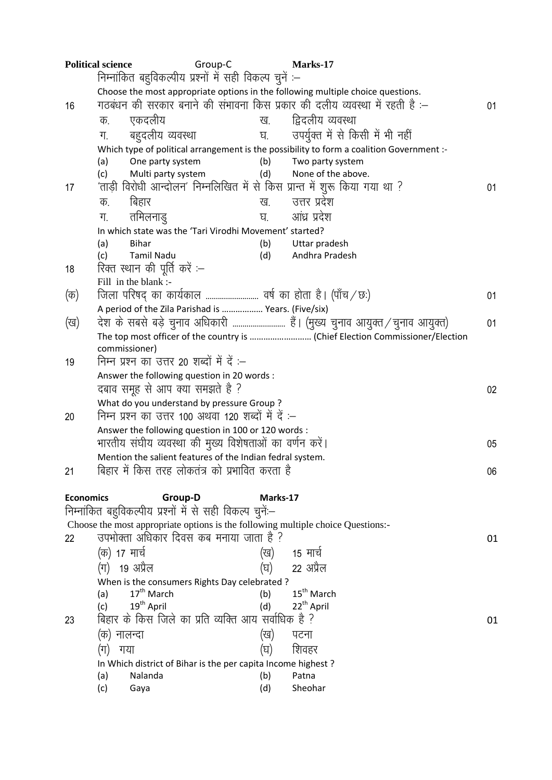|                  | <b>Political science</b>                                            | Group-C                                                      | Marks-17                                                                                 |    |
|------------------|---------------------------------------------------------------------|--------------------------------------------------------------|------------------------------------------------------------------------------------------|----|
|                  |                                                                     | निम्नांकित बहुविकल्पीय प्रश्नों में सही विकल्प चुनें :–      |                                                                                          |    |
|                  |                                                                     |                                                              | Choose the most appropriate options in the following multiple choice questions.          |    |
| 16               |                                                                     |                                                              | गठबंधन की सरकार बनाने की संभावना किस प्रकार की दलीय व्यवस्था में रहती है :–              | 01 |
|                  | एकदलीय<br>क.                                                        | ख.                                                           | द्विदलीय व्यवस्था                                                                        |    |
|                  | बहुदलीय व्यवस्था<br>ग.                                              | घ.                                                           | उपर्युक्त में से किसी में भी नहीं                                                        |    |
|                  |                                                                     |                                                              | Which type of political arrangement is the possibility to form a coalition Government :- |    |
|                  | One party system<br>(a)                                             | (b)                                                          | Two party system                                                                         |    |
|                  | Multi party system<br>(c)                                           | (d)                                                          | None of the above.                                                                       |    |
| 17               |                                                                     |                                                              | 'ताड़ी विरोधी आन्दोलन' निम्नलिखित में से किस प्रान्त में शुरू किया गया था ?              | 01 |
|                  | बिहार<br>क.                                                         | ख.                                                           | उत्तर प्रदेश                                                                             |    |
|                  | तमिलनाड्<br>ग.                                                      | घ.                                                           | आंध्र प्रदेश                                                                             |    |
|                  |                                                                     | In which state was the 'Tari Virodhi Movement' started?      |                                                                                          |    |
|                  | <b>Bihar</b><br>(a)                                                 | (b)                                                          | Uttar pradesh                                                                            |    |
|                  | <b>Tamil Nadu</b><br>(c)<br>रिक्त स्थान की पूर्ति करें :–           | (d)                                                          | Andhra Pradesh                                                                           |    |
| 18               | Fill in the blank :-                                                |                                                              |                                                                                          |    |
| (क)              |                                                                     |                                                              |                                                                                          | 01 |
|                  |                                                                     | A period of the Zila Parishad is  Years. (Five/six)          |                                                                                          |    |
| (ख)              |                                                                     |                                                              | देश के सबसे बड़े चुनाव अधिकारी  हैं। (मुख्य चुनाव आयुक्त / चुनाव आयुक्त)                 | 01 |
|                  |                                                                     |                                                              | The top most officer of the country is  (Chief Election Commissioner/Election            |    |
|                  | commissioner)                                                       |                                                              |                                                                                          |    |
| 19               | निम्न प्रश्न का उत्तर 20 शब्दों में दें :-                          |                                                              |                                                                                          |    |
|                  | Answer the following question in 20 words :                         |                                                              |                                                                                          |    |
|                  | दबाव समूह से आप क्या समझते है ?                                     |                                                              |                                                                                          | 02 |
|                  | What do you understand by pressure Group?                           |                                                              |                                                                                          |    |
| 20               |                                                                     | निम्न प्रश्न का उत्तर 100 अथवा 120 शब्दों में दें :–         |                                                                                          |    |
|                  |                                                                     | Answer the following question in 100 or 120 words :          |                                                                                          |    |
|                  |                                                                     | भारतीय संघीय व्यवस्था की मुख्य विशेषताओं का वर्णन करें।      |                                                                                          | 05 |
|                  |                                                                     | Mention the salient features of the Indian fedral system.    |                                                                                          |    |
| 21               |                                                                     | बिहार में किस तरह लोकतंत्र को प्रभावित करता है               |                                                                                          | 06 |
|                  |                                                                     |                                                              |                                                                                          |    |
| <b>Economics</b> | Group-D<br>निम्नांकित बहुविकल्पीय प्रश्नों में से सही विकल्प चुनें- | Marks-17                                                     |                                                                                          |    |
|                  |                                                                     |                                                              | Choose the most appropriate options is the following multiple choice Questions:-         |    |
| 22               | उपभोक्ता अधिकार दिवस कब मनाया जाता है ?                             |                                                              |                                                                                          | 01 |
|                  | (क) 17 मार्च                                                        | (ख)                                                          | 15 मार्च                                                                                 |    |
|                  | 19 अप्रैल<br>(ग)                                                    | (घ)                                                          | 22 अप्रैल                                                                                |    |
|                  |                                                                     |                                                              |                                                                                          |    |
|                  | 17 <sup>th</sup> March<br>(a)                                       | When is the consumers Rights Day celebrated ?<br>(b)         | 15 <sup>th</sup> March                                                                   |    |
|                  | 19 <sup>th</sup> April<br>(c)                                       | (d)                                                          | 22 <sup>th</sup> April                                                                   |    |
| 23               |                                                                     | बिहार के किस जिले का प्रति व्यक्ति आय सर्वाधिक है ?          |                                                                                          | 01 |
|                  | (क) नालन्दा                                                         | (ख)                                                          | पटना                                                                                     |    |
|                  | (ग)<br>गया                                                          | (घ)                                                          | शिवहर                                                                                    |    |
|                  |                                                                     | In Which district of Bihar is the per capita Income highest? |                                                                                          |    |
|                  | Nalanda<br>(a)                                                      | (b)                                                          | Patna                                                                                    |    |
|                  | (c)<br>Gaya                                                         | (d)                                                          | Sheohar                                                                                  |    |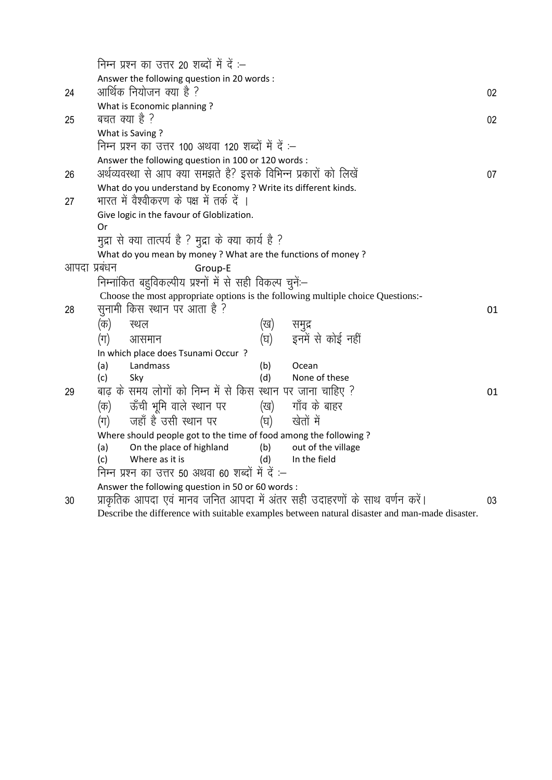|              |                                                                                                | निम्न प्रश्न का उत्तर 20 शब्दों में दें :–                       |     |                                                                                  |    |  |
|--------------|------------------------------------------------------------------------------------------------|------------------------------------------------------------------|-----|----------------------------------------------------------------------------------|----|--|
|              |                                                                                                | Answer the following question in 20 words :                      |     |                                                                                  |    |  |
| 24           |                                                                                                | आर्थिक नियोजन क्या है ?                                          |     |                                                                                  | 02 |  |
|              |                                                                                                | What is Economic planning?                                       |     |                                                                                  |    |  |
| 25           | बचत क्या है ?                                                                                  |                                                                  |     |                                                                                  | 02 |  |
|              | What is Saving?                                                                                |                                                                  |     |                                                                                  |    |  |
|              | निम्न प्रश्न का उत्तर 100 अथवा 120 शब्दों में दें :-                                           |                                                                  |     |                                                                                  |    |  |
|              | Answer the following question in 100 or 120 words :                                            |                                                                  |     |                                                                                  |    |  |
| 26           |                                                                                                | अर्थव्यवस्था से आप क्या समझते है? इसके विभिन्न प्रकारों को लिखें |     |                                                                                  | 07 |  |
|              |                                                                                                | What do you understand by Economy ? Write its different kinds.   |     |                                                                                  |    |  |
| 27           |                                                                                                | भारत में वैश्वीकरण के पक्ष में तर्क दें ।                        |     |                                                                                  |    |  |
|              |                                                                                                | Give logic in the favour of Globlization.                        |     |                                                                                  |    |  |
|              | Or                                                                                             |                                                                  |     |                                                                                  |    |  |
|              |                                                                                                | मुद्रा से क्या तात्पर्य है ? मुद्रा के क्या कार्य है ?           |     |                                                                                  |    |  |
|              |                                                                                                | What do you mean by money ? What are the functions of money ?    |     |                                                                                  |    |  |
| आपदा प्रबंधन |                                                                                                | Group-E                                                          |     |                                                                                  |    |  |
|              |                                                                                                | निम्नांकित बहुविकल्पीय प्रश्नों में से सही विकल्प चुनें:-        |     |                                                                                  |    |  |
|              |                                                                                                |                                                                  |     | Choose the most appropriate options is the following multiple choice Questions:- |    |  |
| 28           | सुनामी किस स्थान पर आता है ?<br>01                                                             |                                                                  |     |                                                                                  |    |  |
|              | (क)                                                                                            | स्थल                                                             | (ख) | समुद्र                                                                           |    |  |
|              | $(\pi)$                                                                                        | आसमान                                                            |     | (घ) इनमें से कोई नहीं                                                            |    |  |
|              |                                                                                                | In which place does Tsunami Occur?                               |     |                                                                                  |    |  |
|              | (a)                                                                                            | Landmass                                                         | (b) | Ocean                                                                            |    |  |
|              | (c)                                                                                            | Sky                                                              | (d) | None of these                                                                    |    |  |
| 29           |                                                                                                | बाढ़ के समय लोगों को निम्न में से किस स्थान पर जाना चाहिए ?      |     |                                                                                  | 01 |  |
|              | (क)                                                                                            | ऊँची भूमि वाले स्थान पर                                          |     | (ख) गाँव के बाहर                                                                 |    |  |
|              | (ग)                                                                                            | जहाँ है उसी स्थान पर                                             | (घ) | खेतों में                                                                        |    |  |
|              |                                                                                                | Where should people got to the time of food among the following? |     |                                                                                  |    |  |
|              | (a)                                                                                            | On the place of highland                                         | (b) | out of the village                                                               |    |  |
|              | (c)                                                                                            | Where as it is                                                   | (d) | In the field                                                                     |    |  |
|              |                                                                                                | निम्न प्रश्न का उत्तर 50 अथवा 60 शब्दों में दें :–               |     |                                                                                  |    |  |
|              |                                                                                                | Answer the following question in 50 or 60 words :                |     |                                                                                  |    |  |
| 30           |                                                                                                |                                                                  |     | प्राकृतिक आपदा एवं मानव जनित आपदा में अंतर सही उदाहरणों के साथ वर्णन करें।       | 03 |  |
|              | Describe the difference with suitable examples between natural disaster and man-made disaster. |                                                                  |     |                                                                                  |    |  |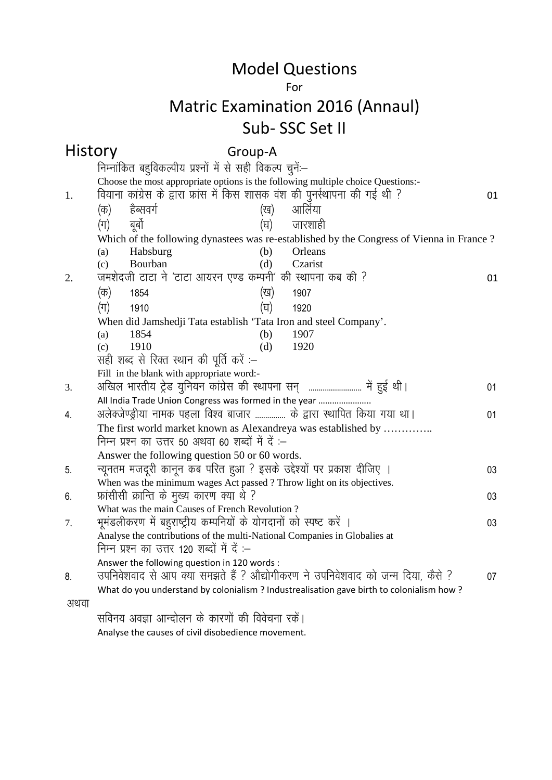#### For

### Matric Examination 2016 (Annaul) Sub- SSC Set II

#### History Group-A निम्नांकित बहुविकल्पीय प्रश्नों में से सही विकल्प चुनें:--Choose the most appropriate options is the following multiple choice Questions:- 1. fo;kuk dkaxzsl ds }kjk Ýkal esa fdl 'kkld oa'k dh iquLZFkkiuk dh xbZ Fkh \ 01 (क) हैब्सवर्ग (ख) आर्लिया (ग) बर्बो (घ) जारशाही Which of the following dynastees was re-established by the Congress of Vienna in France ? (a) Habsburg (b) Orleans (c) Bourban (d) Czarist 2. te'ksnth VkVk us ^VkVk vk;ju ,.M dEiuh\* dh LFkkiuk dc dh \ 01 (ক) 1854 (ख) 1907 (ग) 1910 (घ) 1920 When did Jamshedji Tata establish 'Tata Iron and steel Company'. (a) 1854 (b) 1907 (c) 1910 (d) 1920 सही शब्द से रिक्त स्थान की पूर्ति करें :– Fill in the blank with appropriate word:- 3. vf[ky Hkkjrh; VsªM ;qfu;u dkaxzsl dh LFkkiuk lu~ -------------------------- esa gqbZ FkhA 01 All India Trade Union Congress was formed in the year ………………….. 4. अलेक्जेण्ड्रीया नामक पहला विश्व बाजार ................ के द्वारा स्थापित किया गया था। 01 The first world market known as Alexandreya was established by ............... निम्न प्रश्न का उत्तर 50 अथवा 60 शब्दों में दें :– Answer the following question 50 or 60 words. 5. न्यूनतम मजदूरी कानून कब परित हुआ ? इसके उद्देश्यों पर प्रकाश दीजिए । 03 When was the minimum wages Act passed ? Throw light on its objectives. 6- Ýkalhlh ØkfUr ds eq[; dkj.k D;k Fks \ 03 What was the main Causes of French Revolution ? 7. HkweaMyhdj.k esa cgqjk"Vªh; dEifu;ksa ds ;ksxnkuksa dks Li"V djsa A 03 Analyse the contributions of the multi-National Companies in Globalies at निम्न प्रश्न का उत्तर 120 शब्दों में दें :– Answer the following question in 120 words : 8. उपनिवेशवाद से आप क्या समझते हैं ? औद्योगीकरण ने उपनिवेशवाद को जन्म दिया, कैसे ? 07 What do you understand by colonialism ? Industrealisation gave birth to colonialism how ? अथवा सविनय अवज्ञा आन्दोलन के कारणों की विवेचना रकें।

Analyse the causes of civil disobedience movement.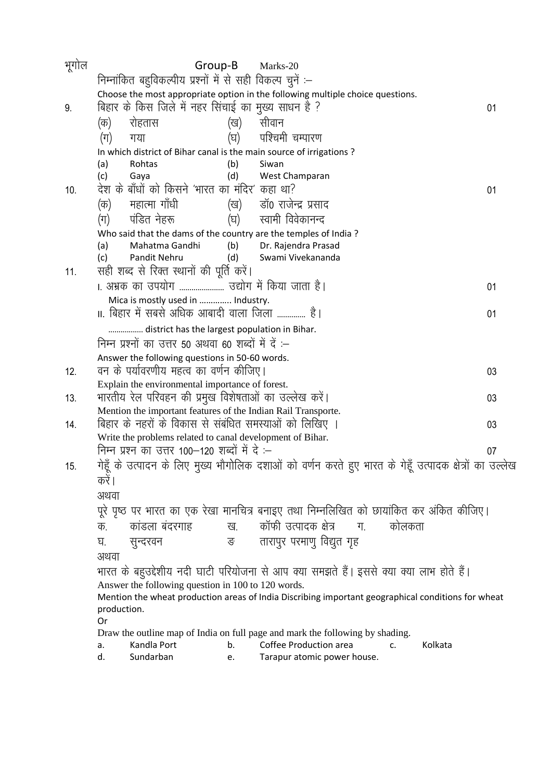| भूगोल | Group-B                                                                                                     | Marks-20                                                                                                                 |    |  |  |  |  |  |
|-------|-------------------------------------------------------------------------------------------------------------|--------------------------------------------------------------------------------------------------------------------------|----|--|--|--|--|--|
|       | निम्नांकित बहुविकल्पीय प्रश्नों में से सही विकल्प चुनें :–                                                  |                                                                                                                          |    |  |  |  |  |  |
|       | Choose the most appropriate option in the following multiple choice questions.                              |                                                                                                                          |    |  |  |  |  |  |
| 9.    | बिहार के किस जिले में नहर सिंचाई का मुख्य साधन है ?                                                         |                                                                                                                          | 01 |  |  |  |  |  |
|       | रोहतास<br>(ख)<br>(क)                                                                                        | सीवान                                                                                                                    |    |  |  |  |  |  |
|       | (घ)<br>(ग)<br>गया                                                                                           | पश्चिमी चम्पारण                                                                                                          |    |  |  |  |  |  |
|       | In which district of Bihar canal is the main source of irrigations ?                                        |                                                                                                                          |    |  |  |  |  |  |
|       | Rohtas<br>(b)<br>(a)                                                                                        | Siwan                                                                                                                    |    |  |  |  |  |  |
|       | (d)<br>(c)<br>Gaya                                                                                          | West Champaran                                                                                                           |    |  |  |  |  |  |
| 10.   | देश के बाँधों को किसने 'भारत का मंदिर' कहा था?                                                              |                                                                                                                          | 01 |  |  |  |  |  |
|       | महात्मा गाँधी<br>(क)                                                                                        | डाँ0 राजेन्द्र प्रसाद<br>(ख)                                                                                             |    |  |  |  |  |  |
|       | पंडित नेहरू<br>(घ)<br>(ग)                                                                                   | स्वामी विवेकानन्द                                                                                                        |    |  |  |  |  |  |
|       | Who said that the dams of the country are the temples of India?                                             |                                                                                                                          |    |  |  |  |  |  |
|       | Mahatma Gandhi<br>(b)<br>(a)                                                                                | Dr. Rajendra Prasad                                                                                                      |    |  |  |  |  |  |
|       | Pandit Nehru<br>(c)<br>(d)                                                                                  | Swami Vivekananda                                                                                                        |    |  |  |  |  |  |
| 11.   | सही शब्द से रिक्त स्थानों की पूर्ति करें।                                                                   |                                                                                                                          |    |  |  |  |  |  |
|       | । अभ्रक का उपयोग  उद्योग में किया जाता है।                                                                  |                                                                                                                          | 01 |  |  |  |  |  |
|       | Mica is mostly used in  Industry.                                                                           |                                                                                                                          |    |  |  |  |  |  |
|       | ॥. बिहार में सबसे अधिक आबादी वाला जिला  है।                                                                 |                                                                                                                          | 01 |  |  |  |  |  |
|       | district has the largest population in Bihar.                                                               |                                                                                                                          |    |  |  |  |  |  |
|       | निम्न प्रश्नों का उत्तर 50 अथवा 60 शब्दों में दें :–                                                        |                                                                                                                          |    |  |  |  |  |  |
|       | Answer the following questions in 50-60 words.                                                              |                                                                                                                          |    |  |  |  |  |  |
| 12.   | वन के पर्यावरणीय महत्व का वर्णन कीजिए।                                                                      |                                                                                                                          | 03 |  |  |  |  |  |
|       | Explain the environmental importance of forest.                                                             |                                                                                                                          |    |  |  |  |  |  |
| 13.   | भारतीय रेल परिवहन की प्रमुख विशेषताओं का उल्लेख करें।                                                       |                                                                                                                          | 03 |  |  |  |  |  |
|       | Mention the important features of the Indian Rail Transporte.                                               |                                                                                                                          |    |  |  |  |  |  |
| 14.   | बिहार के नहरों के विकास से संबंधित समस्याओं को लिखिए ।                                                      |                                                                                                                          | 03 |  |  |  |  |  |
|       | Write the problems related to canal development of Bihar.<br>निम्न प्रश्न का उत्तर 100—120 शब्दों में दे :— |                                                                                                                          |    |  |  |  |  |  |
|       |                                                                                                             |                                                                                                                          | 07 |  |  |  |  |  |
| 15.   |                                                                                                             | गेहूँ के उत्पादन के लिए मुख्य भौगोलिक दशाओं को वर्णन करते हुए भारत के गेहूँ उत्पादक क्षेत्रों का उल्लेख                  |    |  |  |  |  |  |
|       | करे                                                                                                         |                                                                                                                          |    |  |  |  |  |  |
|       | अथवा                                                                                                        |                                                                                                                          |    |  |  |  |  |  |
|       |                                                                                                             | पूरे पृष्ठ पर भारत का एक रेखा मानचित्र बनाइए तथा निम्नलिखित को छायांकित कर अंकित कीजिए।                                  |    |  |  |  |  |  |
|       | कांडला बंदरगाह<br>क.                                                                                        | कॉफी उत्पादक क्षेत्र मि.<br>कोलकता<br>ख.                                                                                 |    |  |  |  |  |  |
|       | ङ<br>सुन्दरवन<br>घ.                                                                                         | तारापुर परमाणु विद्युत गृह                                                                                               |    |  |  |  |  |  |
|       | अथवा                                                                                                        |                                                                                                                          |    |  |  |  |  |  |
|       |                                                                                                             | भारत के बहुउद्देशीय नदी घाटी परियोजना से आप क्या समझते हैं। इससे क्या क्या लाभ होते हैं।                                 |    |  |  |  |  |  |
|       | Answer the following question in 100 to 120 words.                                                          |                                                                                                                          |    |  |  |  |  |  |
|       |                                                                                                             | Mention the wheat production areas of India Discribing important geographical conditions for wheat                       |    |  |  |  |  |  |
|       | production.                                                                                                 |                                                                                                                          |    |  |  |  |  |  |
|       | Or                                                                                                          |                                                                                                                          |    |  |  |  |  |  |
|       | Kandla Port<br>b.<br>a.                                                                                     | Draw the outline map of India on full page and mark the following by shading.<br>Coffee Production area<br>Kolkata<br>c. |    |  |  |  |  |  |
|       | Sundarban<br>d.<br>е.                                                                                       | Tarapur atomic power house.                                                                                              |    |  |  |  |  |  |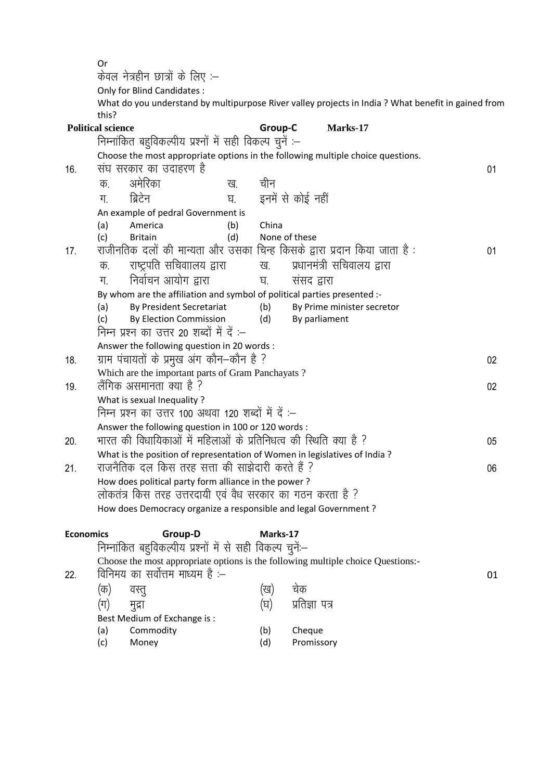Or केवल नेत्रहीन छात्रों के लिए :– Only for Blind Candidates : What do you understand by multipurpose River valley projects in India ? What benefit in gained from this? **Political science Group-C Marks-17** निम्नांकित बहविकल्पीय प्रश्नों में सही विकल्प चुनें :– Choose the most appropriate options in the following multiple choice questions. 16 - संघ सरकार का उदाहरण है कि अपने कार्यक्रम करने के बाद करने के बाद करने के बाद प्रकार का अपने कार्यक्रम का क अमेरिका - - ख चीन <u>ग.</u> ब्रिटेन <sup>घ. इनमें से कोई नहीं</sup> An example of pedral Government is (a) America (b) China (c) Britain (d) None of these 17. राजीनतिक दलों की मान्यता और उसका चिन्ह किसके द्वारा प्रदान किया जाता है : 01 क. राष्ट्रपति सचिवाालय द्वारा ख. प्रधानमंत्री सचिवालय द्वारा x- fuokZpu vk;ksx }kjk ?k- laln }kjk By whom are the affiliation and symbol of political parties presented :- (a) By President Secretariat (b) By Prime minister secretor (c) By Election Commission (d) By parliament निम्न प्रश्न का उत्तर 20 शब्दों में दें $-$ Answer the following question in 20 words : 18. ग्राम पंचायतों के प्रमुख अंग कौन–कौन है ? बार को कार्य करने के प्रकार कर बाद कर बाद कर बाद 202 Which are the important parts of Gram Panchayats ? 19- ySafxd vlekurk D;k gS \ 02 What is sexual Inequality ? निम्न प्रश्न का उत्तर 100 अथवा 120 शब्दों में दें :– Answer the following question in 100 or 120 words : <u>20. भारत की विधायिकाओं में महिलाओं के प्रतिनिधत्व की स्थिति क्या है ? 05</u> What is the position of representation of Women in legislatives of India ?  $21.$   $\phantom{10}\phantom{10}$  राजनैतिक दल किस तरह सत्ता की साझेदारी करते हैं  $\phantom{1}$   $\phantom{1}$ How does political party form alliance in the power ? लोकतंत्र किस तरह उत्तरदायी एवं वैध सरकार का गठन करता है ? How does Democracy organize a responsible and legal Government ? **Economics Group-D Marks-17** निम्नांकित बहविकल्पीय प्रश्नों में से सही विकल्प चनें:-Choose the most appropriate options is the following multiple choice Questions:-  $22.$  विनिमय का सर्वोत्तम माध्यम है :–  $01$ (क) वस्तु (ख) चेक ¼x½ eqnzk ¼?k½ izfrKk i= Best Medium of Exchange is : (a) Commodity (b) Cheque (c) Money (d) Promissory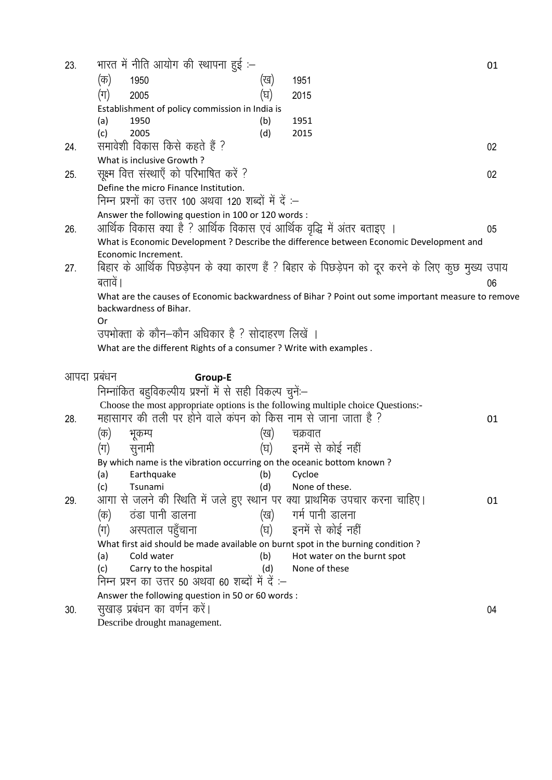| 23.          |         | भारत में नीति आयोग की स्थापना हुई :–                                            |     |                                                                                                    | 01 |
|--------------|---------|---------------------------------------------------------------------------------|-----|----------------------------------------------------------------------------------------------------|----|
|              | (क)     | 1950                                                                            | (ख) | 1951                                                                                               |    |
|              | (ग)     | 2005                                                                            | (घ) | 2015                                                                                               |    |
|              |         | Establishment of policy commission in India is                                  |     |                                                                                                    |    |
|              | (a)     | 1950                                                                            | (b) | 1951                                                                                               |    |
|              | (c)     | 2005                                                                            | (d) | 2015                                                                                               |    |
| 24.          |         | समावेशी विकास किसे कहते हैं ?                                                   |     |                                                                                                    | 02 |
|              |         | What is inclusive Growth?                                                       |     |                                                                                                    |    |
| 25.          |         | सूक्ष्म वित्त संस्थाएँ को परिभाषित करें ?                                       |     |                                                                                                    | 02 |
|              |         | Define the micro Finance Institution.                                           |     |                                                                                                    |    |
|              |         | निम्न प्रश्नों का उत्तर 100 अथवा 120 शब्दों में दें :–                          |     |                                                                                                    |    |
|              |         | Answer the following question in 100 or 120 words :                             |     |                                                                                                    |    |
| 26.          |         | आर्थिक विकास क्या है ? आर्थिक विकास एवं आर्थिक वृद्धि में अंतर बताइए            |     |                                                                                                    | 05 |
|              |         |                                                                                 |     | What is Economic Development ? Describe the difference between Economic Development and            |    |
|              |         | Economic Increment.                                                             |     |                                                                                                    |    |
| 27.          |         |                                                                                 |     | बिहार के आर्थिक पिछड़ेपन के क्या कारण हैं ? बिहार के पिछड़ेपन को दूर करने के लिए कुछ मुख्य उपाय    |    |
|              | बतावें। |                                                                                 |     |                                                                                                    | 06 |
|              |         |                                                                                 |     | What are the causes of Economic backwardness of Bihar ? Point out some important measure to remove |    |
|              |         | backwardness of Bihar.                                                          |     |                                                                                                    |    |
|              | Or      |                                                                                 |     |                                                                                                    |    |
|              |         | उपभोक्ता के कौन–कौन अधिकार है ? सोदाहरण लिखें                                   |     |                                                                                                    |    |
|              |         | What are the different Rights of a consumer ? Write with examples .             |     |                                                                                                    |    |
| आपदा प्रबंधन |         | Group-E                                                                         |     |                                                                                                    |    |
|              |         | निम्नांकित बहुविकल्पीय प्रश्नों में से सही विकल्प चुनें:-                       |     |                                                                                                    |    |
|              |         |                                                                                 |     | Choose the most appropriate options is the following multiple choice Questions:-                   |    |
| 28.          |         | महासागर की तली पर होने वाले कंपन को किस नाम से जाना जाता है ?                   |     |                                                                                                    | 01 |
|              | (क)     | भूकम्प                                                                          | (ख) | चक्रवात                                                                                            |    |
|              | (ग)     | सुनामी                                                                          |     | (घ) हनमें से कोई नहीं                                                                              |    |
|              |         | By which name is the vibration occurring on the oceanic bottom known?           |     |                                                                                                    |    |
|              | (a)     | Earthquake                                                                      | (b) | Cycloe                                                                                             |    |
|              | (c)     | Tsunami                                                                         | (d) | None of these.                                                                                     |    |
| 29.          |         |                                                                                 |     | आगा से जलने की स्थिति में जले हुए स्थान पर क्या प्राथमिक उपचार करना चाहिए।                         | 01 |
|              | (क)     | ठंडा पानी डालना                                                                 | (ख) | गर्म पानी डालना                                                                                    |    |
|              | (ग)     | अस्पताल पहुँचाना                                                                | (घ) | इनमें से कोई नहीं                                                                                  |    |
|              |         | What first aid should be made available on burnt spot in the burning condition? |     |                                                                                                    |    |
|              | (a)     | Cold water                                                                      | (b) | Hot water on the burnt spot                                                                        |    |
|              | (c)     | Carry to the hospital                                                           | (d) | None of these                                                                                      |    |
|              |         | निम्न प्रश्न का उत्तर 50 अथवा 60 शब्दों में दें :–                              |     |                                                                                                    |    |
|              |         | Answer the following question in 50 or 60 words :                               |     |                                                                                                    |    |
| 30.          |         | सुखाड़ प्रबंधन का वर्णन करें।                                                   |     |                                                                                                    | 04 |

Describe drought management.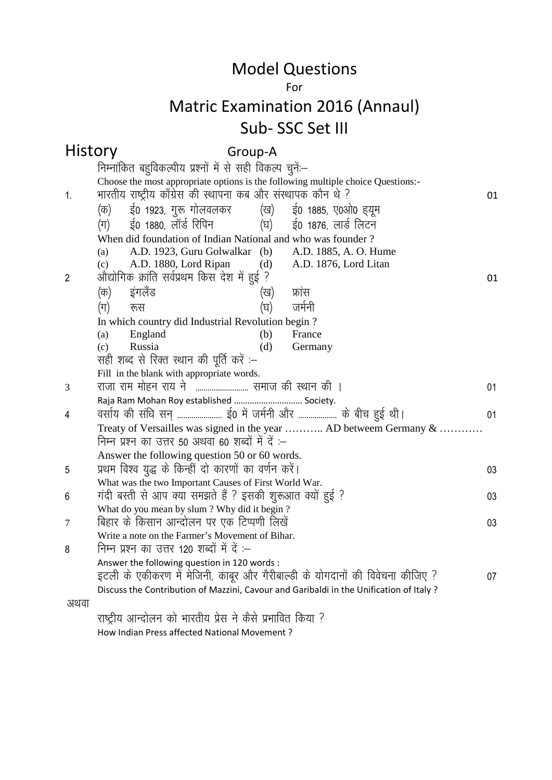#### For

## Matric Examination 2016 (Annaul) Sub- SSC Set III

#### History Group-A

|                | निम्नांकित बहुविकल्पीय प्रश्नों में से सही विकल्प चुनें:–                                                               |    |  |  |  |  |  |  |
|----------------|-------------------------------------------------------------------------------------------------------------------------|----|--|--|--|--|--|--|
|                | Choose the most appropriate options is the following multiple choice Questions:-                                        |    |  |  |  |  |  |  |
| $\mathbf{1}$ . | भारतीय राष्ट्रीय काँग्रेस की स्थापना कब और संस्थापक कौन थे ?                                                            | 01 |  |  |  |  |  |  |
|                | ई0 1923, गुरू गोलवलकर       (ख)     ई0 1885, ए0ओ0 ह्यूम<br>(क)                                                          |    |  |  |  |  |  |  |
|                | ई0 1880, लॉर्ड रिपिन<br>(घ)<br>ई0 1876, लार्ड लिटन<br>(ग)                                                               |    |  |  |  |  |  |  |
|                | When did foundation of Indian National and who was founder?                                                             |    |  |  |  |  |  |  |
|                | A.D. 1923, Guru Golwalkar (b)<br>A.D. 1885, A. O. Hume<br>(a)                                                           |    |  |  |  |  |  |  |
|                | A.D. 1880, Lord Ripan<br>A.D. 1876, Lord Litan<br>(d)<br>(c)                                                            |    |  |  |  |  |  |  |
| $\overline{2}$ | औद्योगिक क्रांति सर्वप्रथम किस देश में हुई ?                                                                            | 01 |  |  |  |  |  |  |
|                | इंगलैंड<br>फ्रांस<br>(क)<br>(ख)                                                                                         |    |  |  |  |  |  |  |
|                | (घ)<br>जर्मनी<br>(ग)<br>रूस                                                                                             |    |  |  |  |  |  |  |
|                | In which country did Industrial Revolution begin?                                                                       |    |  |  |  |  |  |  |
|                | England<br>France<br>(b)<br>(a)                                                                                         |    |  |  |  |  |  |  |
|                | Russia<br>(d)<br>(c)<br>Germany                                                                                         |    |  |  |  |  |  |  |
|                | सही शब्द से रिक्त स्थान की पूर्ति करें :–                                                                               |    |  |  |  |  |  |  |
|                | Fill in the blank with appropriate words.                                                                               |    |  |  |  |  |  |  |
| 3              | राजा राम मोहन राय ने  समाज की स्थान की ।                                                                                | 01 |  |  |  |  |  |  |
|                | Raja Ram Mohan Roy established  Society.                                                                                |    |  |  |  |  |  |  |
| 4              | वर्साय की संधि सन्  ई0 में जर्मनी और  के बीच हुई थी।                                                                    | 01 |  |  |  |  |  |  |
|                | Treaty of Versailles was signed in the year  AD betweem Germany &<br>निम्न प्रश्न का उत्तर 50 अथवा 60 शब्दों में दें :– |    |  |  |  |  |  |  |
|                |                                                                                                                         |    |  |  |  |  |  |  |
|                | Answer the following question 50 or 60 words.                                                                           |    |  |  |  |  |  |  |
| 5              | प्रथम विश्व युद्ध के किन्हीं दो कारणों का वर्णन करें।                                                                   | 03 |  |  |  |  |  |  |
|                | What was the two Important Causes of First World War.                                                                   |    |  |  |  |  |  |  |
| 6              | गंदी बस्ती से आप क्या समझते हैं ? इसकी शुरूआत क्यों हुई ?<br>What do you mean by slum? Why did it begin?                | 03 |  |  |  |  |  |  |
| 7              | बिहार के किसान आन्दोलन पर एक टिप्पणी लिखें                                                                              | 03 |  |  |  |  |  |  |
|                | Write a note on the Farmer's Movement of Bihar.                                                                         |    |  |  |  |  |  |  |
| 8              | निम्न प्रश्न का उत्तर 120 शब्दों में दें :–                                                                             |    |  |  |  |  |  |  |
|                | Answer the following question in 120 words :                                                                            |    |  |  |  |  |  |  |
|                | इटली के एकीकरण में मेजिनी, काबूर और गैरीबाल्डी के योगदानों की विवेचना कीजिए ?                                           | 07 |  |  |  |  |  |  |
|                | Discuss the Contribution of Mazzini, Cavour and Garibaldi in the Unification of Italy?                                  |    |  |  |  |  |  |  |
| अथवा           |                                                                                                                         |    |  |  |  |  |  |  |
|                | राष्ट्रीय आन्दोलन को भारतीय प्रेस ने कैसे प्रभावित किया ?                                                               |    |  |  |  |  |  |  |
|                | How Indian Press affected National Movement?                                                                            |    |  |  |  |  |  |  |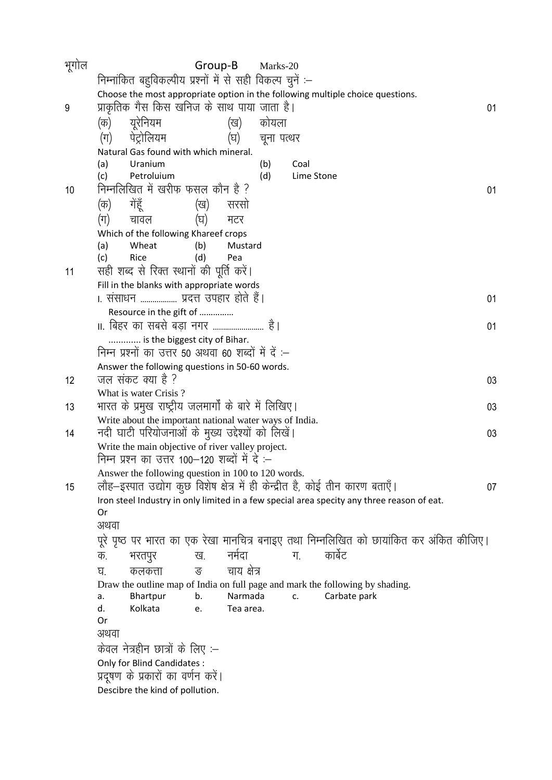| भूगोल | Group-B<br>Marks-20                                                                                 |    |  |  |  |  |
|-------|-----------------------------------------------------------------------------------------------------|----|--|--|--|--|
|       | निम्नांकित बहुविकल्पीय प्रश्नों में से सही विकल्प चुनें :–                                          |    |  |  |  |  |
|       | Choose the most appropriate option in the following multiple choice questions.                      |    |  |  |  |  |
| 9     | प्राकृतिक गैस किस खनिज के साथ पाया जाता है।                                                         | 01 |  |  |  |  |
|       | युरेनियम<br>कोयला<br>(क)<br>(ख)                                                                     |    |  |  |  |  |
|       | पेट्रोलियम<br>(ग)<br>(घ)<br>चूना पत्थर                                                              |    |  |  |  |  |
|       | Natural Gas found with which mineral.<br>Uranium<br>(b)<br>Coal<br>(a)                              |    |  |  |  |  |
|       | Petroluium<br>(d)<br>(c)<br>Lime Stone                                                              |    |  |  |  |  |
| 10    | निम्नलिखित में खरीफ फसल कौन है ?                                                                    | 01 |  |  |  |  |
|       | गेंहूँ<br>सरसो<br>(क)<br>(ख)                                                                        |    |  |  |  |  |
|       | (घ)<br>(ग)<br>चावल<br>मटर                                                                           |    |  |  |  |  |
|       | Which of the following Khareef crops                                                                |    |  |  |  |  |
|       | Wheat<br>(b)<br>(a)<br>Mustard                                                                      |    |  |  |  |  |
|       | (c)<br>Rice<br>(d)<br>Pea                                                                           |    |  |  |  |  |
| 11    | सही शब्द से रिक्त स्थानों की पूर्ति करें।                                                           |    |  |  |  |  |
|       | Fill in the blanks with appropriate words<br>।. संसाधन  प्रदत्त उपहार होते हैं।                     |    |  |  |  |  |
|       | Resource in the gift of                                                                             | 01 |  |  |  |  |
|       | II. बिहर का सबसे बड़ा नगर  है।                                                                      | 01 |  |  |  |  |
|       | is the biggest city of Bihar.                                                                       |    |  |  |  |  |
|       | निम्न प्रश्नों का उत्तर 50 अथवा 60 शब्दों में दें :–                                                |    |  |  |  |  |
|       | Answer the following questions in 50-60 words.                                                      |    |  |  |  |  |
| 12    | जल संकट क्या है ?                                                                                   | 03 |  |  |  |  |
|       | What is water Crisis?                                                                               |    |  |  |  |  |
| 13    | भारत के प्रमुख राष्ट्रीय जलमार्गों के बारे में लिखिए।                                               | 03 |  |  |  |  |
|       | Write about the important national water ways of India.                                             |    |  |  |  |  |
| 14    | नदी घाटी परियोजनाओं के मुख्य उद्देश्यों को लिखें।                                                   | 03 |  |  |  |  |
|       | Write the main objective of river valley project.<br>निम्न प्रश्न का उत्तर 100–120 शब्दों में दे :– |    |  |  |  |  |
|       | Answer the following question in 100 to 120 words.                                                  |    |  |  |  |  |
| 15    | लौह—इस्पात उद्योग कुछ विशेष क्षेत्र में ही केन्द्रीत है, कोई तीन कारण बताएँ।                        | 07 |  |  |  |  |
|       | Iron steel Industry in only limited in a few special area specity any three reason of eat.          |    |  |  |  |  |
|       | Or                                                                                                  |    |  |  |  |  |
|       | अथवा                                                                                                |    |  |  |  |  |
|       | पूरे पृष्ठ पर भारत का एक रेखा मानचित्र बनाइए तथा निम्नलिखित को छायांकित कर अंकित कीजिए।             |    |  |  |  |  |
|       | नर्मदा<br>कार्बेट<br>ख.<br>ग.<br>क.<br>भरतपुर                                                       |    |  |  |  |  |
|       | चाय क्षेत्र<br>ङ<br>कलकत्ता<br>घ.                                                                   |    |  |  |  |  |
|       | Draw the outline map of India on full page and mark the following by shading.                       |    |  |  |  |  |
|       | Narmada<br>Bhartpur<br>b.<br>Carbate park<br>c.<br>a.                                               |    |  |  |  |  |
|       | Kolkata<br>Tea area.<br>d.<br>e.<br>Or                                                              |    |  |  |  |  |
|       | अथवा                                                                                                |    |  |  |  |  |
|       | केवल नेत्रहीन छात्रों के लिए :–                                                                     |    |  |  |  |  |
|       | Only for Blind Candidates :                                                                         |    |  |  |  |  |
|       | प्रदूषण के प्रकारों का वर्णन करें।                                                                  |    |  |  |  |  |
|       | Descibre the kind of pollution.                                                                     |    |  |  |  |  |
|       |                                                                                                     |    |  |  |  |  |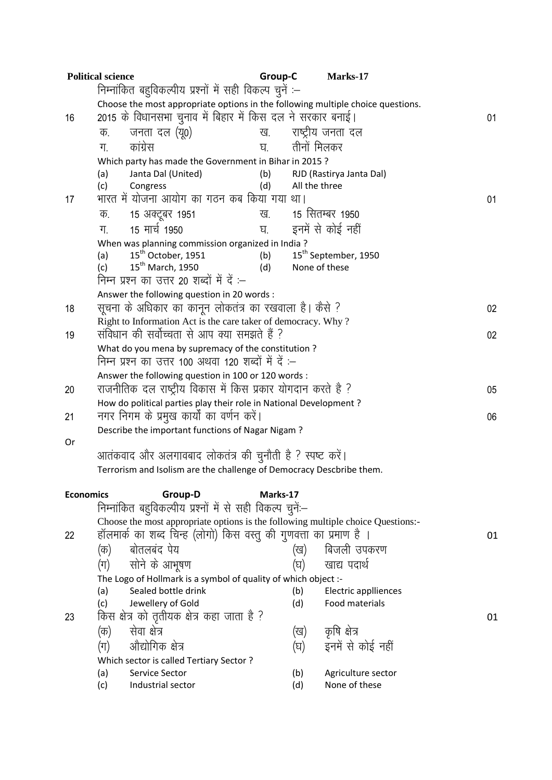|                  | <b>Political science</b>                        |                                                                                    | Group-C  |               | Marks-17                               |    |  |
|------------------|-------------------------------------------------|------------------------------------------------------------------------------------|----------|---------------|----------------------------------------|----|--|
|                  |                                                 | निम्नांकित बहुविकल्पीय प्रश्नों में सही विकल्प चुनें :–                            |          |               |                                        |    |  |
|                  |                                                 | Choose the most appropriate options in the following multiple choice questions.    |          |               |                                        |    |  |
| 16               |                                                 | 2015 के विधानसभा चुनाव में बिहार में किस दल ने सरकार बनाई।                         |          |               |                                        | 01 |  |
|                  | क.                                              | जनता दल (यू०)                                                                      | ख.       |               | राष्ट्रीय जनता दल                      |    |  |
|                  | ग.                                              | कांग्रेस                                                                           | घ.       | तीनों मिलकर   |                                        |    |  |
|                  |                                                 | Which party has made the Government in Bihar in 2015?                              |          |               |                                        |    |  |
|                  | (a)                                             | Janta Dal (United)                                                                 | (b)      |               | RJD (Rastirya Janta Dal)               |    |  |
|                  | (c)                                             | Congress                                                                           | (d)      | All the three |                                        |    |  |
| 17               |                                                 | भारत में योजना आयोग का गठन कब किया गया था।                                         |          |               |                                        | 01 |  |
|                  | क.                                              | 15 अक्टूबर 1951                                                                    | ख.       |               | 15 सितम्बर 1950                        |    |  |
|                  | ग.                                              | 15 मार्च 1950                                                                      |          |               | घ. - इनमें से कोई नहीं                 |    |  |
|                  | (a)                                             | When was planning commission organized in India?<br>15 <sup>th</sup> October, 1951 | (b)      |               | 15 <sup>th</sup> September, 1950       |    |  |
|                  | (c)                                             | 15 <sup>th</sup> March, 1950                                                       | (d)      | None of these |                                        |    |  |
|                  |                                                 | निम्न प्रश्न का उत्तर 20 शब्दों में दें :–                                         |          |               |                                        |    |  |
|                  |                                                 | Answer the following question in 20 words :                                        |          |               |                                        |    |  |
| 18               |                                                 | सूचना के अधिकार का कानून लोकतंत्र का रखवाला है। कैसे ?                             |          |               |                                        | 02 |  |
|                  |                                                 | Right to Information Act is the care taker of democracy. Why?                      |          |               |                                        |    |  |
| 19               |                                                 | संविधान की सर्वोच्चता से आप क्या समझते हैं ?                                       |          |               |                                        | 02 |  |
|                  |                                                 | What do you mena by supremacy of the constitution?                                 |          |               |                                        |    |  |
|                  |                                                 | निम्न प्रश्न का उत्तर 100 अथवा 120 शब्दों में दें :–                               |          |               |                                        |    |  |
|                  |                                                 | Answer the following question in 100 or 120 words :                                |          |               |                                        |    |  |
| 20               |                                                 | राजनीतिक दल राष्ट्रीय विकास में किस प्रकार योगदान करते है ?                        |          |               |                                        | 05 |  |
|                  |                                                 | How do political parties play their role in National Development ?                 |          |               |                                        |    |  |
| 21               | नगर निगम के प्रमुख कार्यों का वर्णन करें।<br>06 |                                                                                    |          |               |                                        |    |  |
| Or               |                                                 | Describe the important functions of Nagar Nigam?                                   |          |               |                                        |    |  |
|                  |                                                 | आतंकवाद और अलगावबाद लोकतंत्र की चुनौती है ? स्पष्ट करें।                           |          |               |                                        |    |  |
|                  |                                                 | Terrorism and Isolism are the challenge of Democracy Descbribe them.               |          |               |                                        |    |  |
|                  |                                                 |                                                                                    |          |               |                                        |    |  |
| <b>Economics</b> |                                                 | Group-D                                                                            | Marks-17 |               |                                        |    |  |
|                  |                                                 | निम्नांकित बहुविकल्पीय प्रश्नों में से सही विकल्प चुनें:--                         |          |               |                                        |    |  |
|                  |                                                 | Choose the most appropriate options is the following multiple choice Questions:-   |          |               |                                        |    |  |
| 22               |                                                 | हॉलमार्क का शब्द चिन्ह (लोगो) किस वस्तु की गुणवत्ता का प्रमाण है ।                 |          |               |                                        | 01 |  |
|                  | (क)                                             | बोतलबंद पेय                                                                        |          | (ख)           | बिजली उपकरण                            |    |  |
|                  | (ग)                                             | सोने के आभूषण                                                                      |          | (घ)           | खाद्य पदार्थ                           |    |  |
|                  |                                                 | The Logo of Hollmark is a symbol of quality of which object :-                     |          |               |                                        |    |  |
|                  | (a)<br>(c)                                      | Sealed bottle drink<br>Jewellery of Gold                                           |          | (b)<br>(d)    | Electric applliences<br>Food materials |    |  |
| 23               |                                                 | किस क्षेत्र को तृतीयक क्षेत्र कहा जाता है ?                                        |          |               |                                        | 01 |  |
|                  | (क)                                             | सेवा क्षेत्र                                                                       |          | (ख)           | कृषि क्षेत्र                           |    |  |
|                  | (ग)                                             | औद्योगिक क्षेत्र                                                                   |          | (घ)           | इनमें से कोई नहीं                      |    |  |
|                  |                                                 | Which sector is called Tertiary Sector?                                            |          |               |                                        |    |  |
|                  | (a)                                             | Service Sector                                                                     |          | (b)           | Agriculture sector                     |    |  |
|                  | (c)                                             | Industrial sector                                                                  |          | (d)           | None of these                          |    |  |
|                  |                                                 |                                                                                    |          |               |                                        |    |  |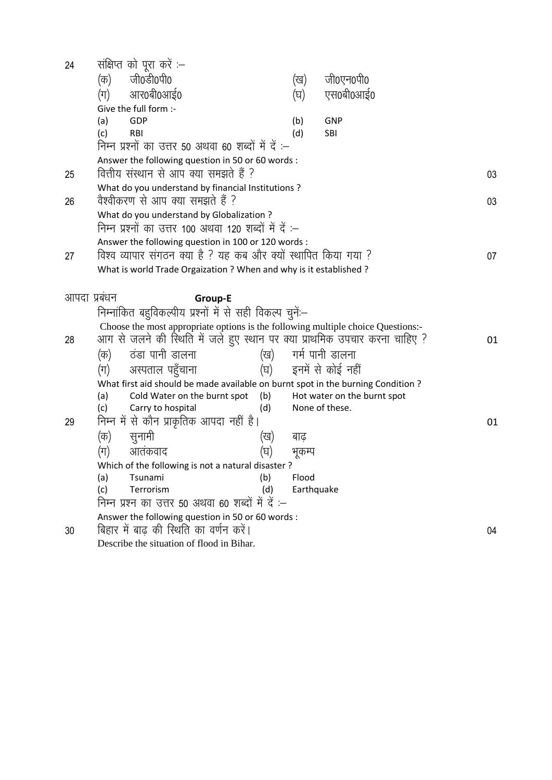| 24           | संक्षिप्त को पूरा करें :–                                                                                                      |                     |                             |    |
|--------------|--------------------------------------------------------------------------------------------------------------------------------|---------------------|-----------------------------|----|
|              | जी0डी0पी0<br>(क)                                                                                                               | (ख)                 | जी0एन0पी0                   |    |
|              | आर0बी0आई0<br>(ग)                                                                                                               | (घ)                 | एस0बी0आई0                   |    |
|              | Give the full form :-                                                                                                          |                     |                             |    |
|              | GDP<br>(a)                                                                                                                     | (b)                 | <b>GNP</b>                  |    |
|              | (c)<br>RBI                                                                                                                     | (d)                 | <b>SBI</b>                  |    |
|              | निम्न प्रश्नों का उत्तर 50 अथवा 60 शब्दों में दें :–                                                                           |                     |                             |    |
|              | Answer the following question in 50 or 60 words :                                                                              |                     |                             |    |
| 25           | वित्तीय संस्थान से आप क्या समझते हैं ?                                                                                         |                     |                             | 03 |
|              | What do you understand by financial Institutions ?                                                                             |                     |                             |    |
| 26           | वैश्वीकरण से आप क्या समझते हैं ?                                                                                               |                     |                             | 03 |
|              | What do you understand by Globalization?                                                                                       |                     |                             |    |
|              | निम्न प्रश्नों का उत्तर 100 अथवा 120 शब्दों में दें :–                                                                         |                     |                             |    |
|              | Answer the following question in 100 or 120 words :                                                                            |                     |                             |    |
| 27           | विश्व व्यापार संगठन क्या है ? यह कब और क्यों स्थापित किया गया ?                                                                |                     |                             | 07 |
|              | What is world Trade Orgaization ? When and why is it established ?                                                             |                     |                             |    |
|              |                                                                                                                                |                     |                             |    |
| आपदा प्रबंधन | <b>Group-E</b>                                                                                                                 |                     |                             |    |
|              | निम्नांकित बहुविकल्पीय प्रश्नों में से सही विकल्प चुनें:–                                                                      |                     |                             |    |
|              | Choose the most appropriate options is the following multiple choice Questions:-                                               |                     |                             |    |
| 28           | आग से जलने की स्थिति में जले हुए स्थान पर क्या प्राथमिक उपचार करना चाहिए ?                                                     |                     |                             | 01 |
|              | ठंडा पानी डालना<br>(क)                                                                                                         | (ख) गर्म पानी डालना |                             |    |
|              | अस्पताल पहुँचाना<br>(घ)                                                                                                        |                     | इनमें से कोई नहीं           |    |
|              | (ग)                                                                                                                            |                     |                             |    |
|              | What first aid should be made available on burnt spot in the burning Condition ?<br>Cold Water on the burnt spot<br>(b)<br>(a) |                     | Hot water on the burnt spot |    |
|              | (d)<br>Carry to hospital<br>(c)                                                                                                |                     | None of these.              |    |
| 29           | निम्न में से कौन प्राकृतिक आपदा नहीं है।                                                                                       |                     |                             | 01 |
|              |                                                                                                                                |                     |                             |    |
|              | (क)<br>सुनामी<br>(ख)                                                                                                           | बाढ़                |                             |    |
|              | आतंकवाद<br>(ग)<br>(घ)                                                                                                          | भुकम्प              |                             |    |
|              | Which of the following is not a natural disaster?                                                                              |                     |                             |    |
|              | (a)<br>Tsunami<br>(b)<br>(c)<br>Terrorism<br>(d)                                                                               | Flood<br>Earthquake |                             |    |
|              | निम्न प्रश्न का उत्तर 50 अथवा 60 शब्दों में दें :–                                                                             |                     |                             |    |
|              | Answer the following question in 50 or 60 words :                                                                              |                     |                             |    |
| 30           | बिहार में बाढ की स्थिति का वर्णन करें।                                                                                         |                     |                             |    |
|              | Describe the situation of flood in Bihar.                                                                                      |                     |                             | 04 |
|              |                                                                                                                                |                     |                             |    |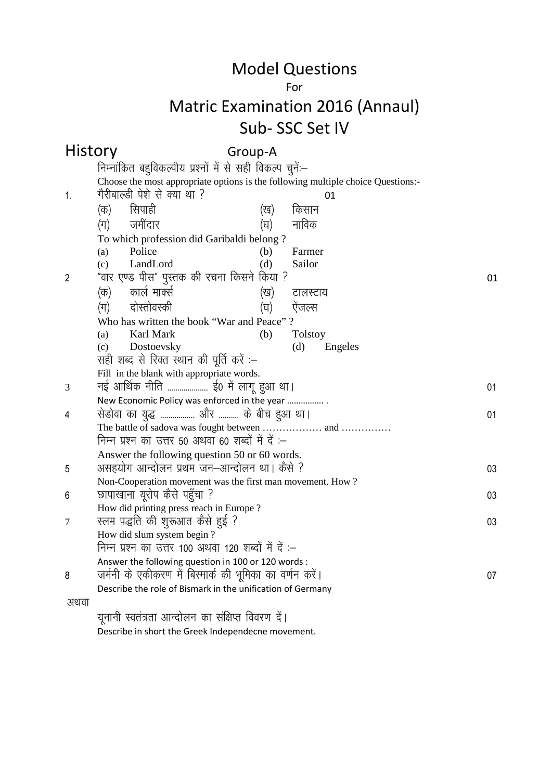#### For

# Matric Examination 2016 (Annaul) Sub- SSC Set IV

|                | <b>History</b><br>Group-A                                                                   |    |  |  |  |  |
|----------------|---------------------------------------------------------------------------------------------|----|--|--|--|--|
|                | निम्नांकित बहुविकल्पीय प्रश्नों में से सही विकल्प चुनें:--                                  |    |  |  |  |  |
|                | Choose the most appropriate options is the following multiple choice Questions:-            |    |  |  |  |  |
| 1.             | गैरीबाल्डी पेशे से क्या था ?<br>01                                                          |    |  |  |  |  |
|                | सिपाही<br>(क)<br>(ख)<br>किसान                                                               |    |  |  |  |  |
|                | जमींदार<br>नाविक<br>$(\pi)$<br>(घ)                                                          |    |  |  |  |  |
|                | To which profession did Garibaldi belong?                                                   |    |  |  |  |  |
|                | Police<br>Farmer<br>(a)<br>(b)                                                              |    |  |  |  |  |
|                | LandLord<br>(d)<br>Sailor<br>(c)                                                            |    |  |  |  |  |
| $\overline{2}$ | "वार एण्ड पीस" पुस्तक की रचना किसने किया ?                                                  | 01 |  |  |  |  |
|                | कार्ल मार्क्स<br>(क)<br>(ख)<br>टालस्टाय                                                     |    |  |  |  |  |
|                | दोस्तोवस्की<br>$(\pi)$<br>(घ)<br>ऐंजल्स                                                     |    |  |  |  |  |
|                | Who has written the book "War and Peace"?                                                   |    |  |  |  |  |
|                | Karl Mark<br>(b)<br><b>Tolstoy</b><br>(a)                                                   |    |  |  |  |  |
|                | (c)<br>Dostoevsky<br>(d)<br>Engeles                                                         |    |  |  |  |  |
|                | सही शब्द से रिक्त स्थान की पूर्ति करें :–                                                   |    |  |  |  |  |
|                | Fill in the blank with appropriate words.                                                   |    |  |  |  |  |
| 3              | नई आर्थिक नीति  ई0 में लागू हुआ था।                                                         | 01 |  |  |  |  |
|                | New Economic Policy was enforced in the year                                                |    |  |  |  |  |
| 4              | सेडोवा का युद्ध  और  के बीच हुआ था।                                                         | 01 |  |  |  |  |
|                |                                                                                             |    |  |  |  |  |
|                | निम्न प्रश्न का उत्तर 50 अथवा 60 शब्दों में दें :–                                          |    |  |  |  |  |
|                | Answer the following question 50 or 60 words.<br>असहयोग आन्दोलन प्रथम जन–आन्दोलन था। कैसे ? |    |  |  |  |  |
| 5              | Non-Cooperation movement was the first man movement. How?                                   | 03 |  |  |  |  |
| 6              | छापाखाना यूरोप कैसे पहुँचा ?                                                                | 03 |  |  |  |  |
|                | How did printing press reach in Europe?                                                     |    |  |  |  |  |
| 7              | स्लम पद्धति की शुरूआत कैसे हुई ?                                                            | 03 |  |  |  |  |
|                | How did slum system begin?                                                                  |    |  |  |  |  |
|                | निम्न प्रश्न का उत्तर 100 अथवा 120 शब्दों में दें :-                                        |    |  |  |  |  |
|                | Answer the following question in 100 or 120 words :                                         |    |  |  |  |  |
| 8              | जर्मनी के एकीकरण में बिस्मार्क की भूमिका का वर्णन करें।                                     | 07 |  |  |  |  |
|                | Describe the role of Bismark in the unification of Germany                                  |    |  |  |  |  |
| अथवा           |                                                                                             |    |  |  |  |  |
|                | युनानी स्वतंत्रता आन्दोलन का संक्षिप्त विवरण दें।                                           |    |  |  |  |  |

Describe in short the Greek Independecne movement.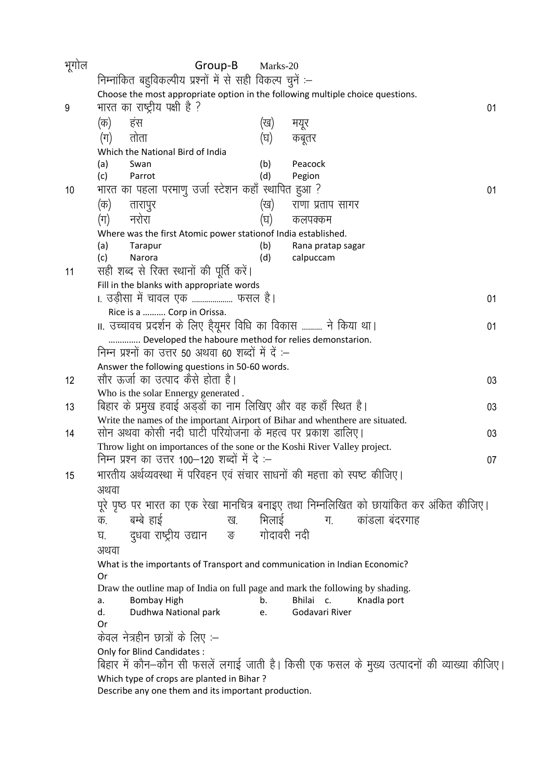| भूगोल | Group-B                                                                                                                                    | Marks-20    |                                                                                            |    |  |  |  |
|-------|--------------------------------------------------------------------------------------------------------------------------------------------|-------------|--------------------------------------------------------------------------------------------|----|--|--|--|
|       | निम्नांकित बहुविकल्पीय प्रश्नों में से सही विकल्प चुनें :-                                                                                 |             |                                                                                            |    |  |  |  |
|       | Choose the most appropriate option in the following multiple choice questions.                                                             |             |                                                                                            |    |  |  |  |
| 9     | भारत का राष्ट्रीय पक्षी है ?                                                                                                               |             |                                                                                            | 01 |  |  |  |
|       | हंस<br>(क)                                                                                                                                 | (ख)         | मयूर                                                                                       |    |  |  |  |
|       | तोता<br>(ग)                                                                                                                                | (घ)         | कबूतर                                                                                      |    |  |  |  |
|       | Which the National Bird of India                                                                                                           |             |                                                                                            |    |  |  |  |
|       | Swan<br>(a)                                                                                                                                | (b)         | Peacock                                                                                    |    |  |  |  |
|       | Parrot<br>(c)                                                                                                                              | (d)         | Pegion                                                                                     |    |  |  |  |
| 10    | भारत का पहला परमाणु उर्जा स्टेशन कहाँ स्थापित हुआ ?                                                                                        |             |                                                                                            | 01 |  |  |  |
|       | (क)<br>तारापुर                                                                                                                             | (ख)         | राणा प्रताप सागर                                                                           |    |  |  |  |
|       | नरोरा<br>(ग)                                                                                                                               | (घ)         | कलपक्कम                                                                                    |    |  |  |  |
|       | Where was the first Atomic power stationof India established.                                                                              |             |                                                                                            |    |  |  |  |
|       | (a)<br>Tarapur                                                                                                                             | (b)         | Rana pratap sagar                                                                          |    |  |  |  |
|       | (c)<br>Narora                                                                                                                              | (d)         | calpuccam                                                                                  |    |  |  |  |
| 11    | सही शब्द से रिक्त स्थानों की पूर्ति करें।                                                                                                  |             |                                                                                            |    |  |  |  |
|       | Fill in the blanks with appropriate words                                                                                                  |             |                                                                                            |    |  |  |  |
|       | ।. उड़ीसा में चावल एक  फसल है।                                                                                                             |             |                                                                                            | 01 |  |  |  |
|       | Rice is a  Corp in Orissa.                                                                                                                 |             |                                                                                            |    |  |  |  |
|       | ॥. उच्चावच प्रदर्शन के लिए हैयूमर विधि का विकास  ने किया था।                                                                               |             |                                                                                            | 01 |  |  |  |
|       | Developed the haboure method for relies demonstarion.                                                                                      |             |                                                                                            |    |  |  |  |
|       | निम्न प्रश्नों का उत्तर 50 अथवा 60 शब्दों में दें :–                                                                                       |             |                                                                                            |    |  |  |  |
|       | Answer the following questions in 50-60 words.                                                                                             |             |                                                                                            |    |  |  |  |
| 12    | सौर ऊर्जा का उत्पाद कैसे होता है।                                                                                                          |             |                                                                                            | 03 |  |  |  |
|       | Who is the solar Ennergy generated.                                                                                                        |             |                                                                                            |    |  |  |  |
| 13    | बिहार के प्रमुख हवाई अड्डों का नाम लिखिए और वह कहाँ स्थित है।                                                                              |             |                                                                                            | 03 |  |  |  |
| 14    | Write the names of the important Airport of Bihar and whenthere are situated.<br>सोन अथवा कोसी नदी घाटी परियोजना के महत्व पर प्रकाश डालिए। |             |                                                                                            | 03 |  |  |  |
|       | Throw light on importances of the sone or the Koshi River Valley project.                                                                  |             |                                                                                            |    |  |  |  |
|       | निम्न प्रश्न का उत्तर 100—120 शब्दों में दे :—                                                                                             |             |                                                                                            | 07 |  |  |  |
| 15    | भारतीय अर्थव्यवस्था में परिवहन एवं संचार साधनों की महत्ता को स्पष्ट कीजिए।                                                                 |             |                                                                                            |    |  |  |  |
|       |                                                                                                                                            |             |                                                                                            |    |  |  |  |
|       | अथवा                                                                                                                                       |             |                                                                                            |    |  |  |  |
|       |                                                                                                                                            |             | पूरे पृष्ठ पर भारत का एक रेखा मानचित्र बनाइए तथा निम्नलिखित को छायांकित कर अंकित कीजिए।    |    |  |  |  |
|       | बम्बे हाई<br>क.<br>ख.                                                                                                                      | भिलाई       | कांडला बंदरगाह<br>ग.                                                                       |    |  |  |  |
|       | दुधवा राष्ट्रीय उद्यान<br><b>संख्या</b><br>घ.                                                                                              | गोदावरी नदी |                                                                                            |    |  |  |  |
|       | अथवा                                                                                                                                       |             |                                                                                            |    |  |  |  |
|       | What is the importants of Transport and communication in Indian Economic?                                                                  |             |                                                                                            |    |  |  |  |
|       | Or                                                                                                                                         |             |                                                                                            |    |  |  |  |
|       | Draw the outline map of India on full page and mark the following by shading.                                                              |             | Bhilai c.                                                                                  |    |  |  |  |
|       | <b>Bombay High</b><br>а.<br>Dudhwa National park<br>d.                                                                                     | b.<br>e.    | Knadla port<br>Godavari River                                                              |    |  |  |  |
|       | Or                                                                                                                                         |             |                                                                                            |    |  |  |  |
|       | केवल नेत्रहीन छात्रों के लिए :–                                                                                                            |             |                                                                                            |    |  |  |  |
|       | Only for Blind Candidates:                                                                                                                 |             |                                                                                            |    |  |  |  |
|       |                                                                                                                                            |             | बिहार में कौन–कौन सी फसलें लगाई जाती है। किसी एक फसल के मुख्य उत्पादनों की व्याख्या कीजिए। |    |  |  |  |
|       | Which type of crops are planted in Bihar?                                                                                                  |             |                                                                                            |    |  |  |  |
|       | Describe any one them and its important production.                                                                                        |             |                                                                                            |    |  |  |  |
|       |                                                                                                                                            |             |                                                                                            |    |  |  |  |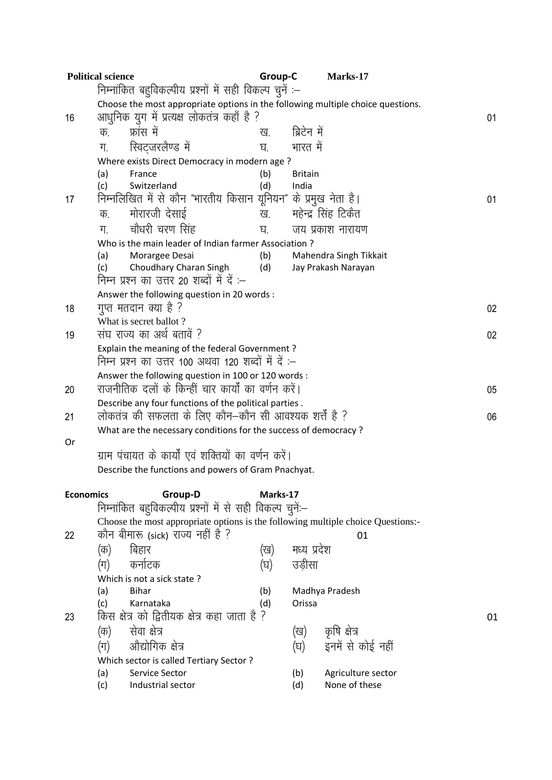|                  | <b>Political science</b>                                                                                              | Group-C  |                | Marks-17               |    |  |  |  |
|------------------|-----------------------------------------------------------------------------------------------------------------------|----------|----------------|------------------------|----|--|--|--|
|                  | निम्नांकित बहुविकल्पीय प्रश्नों में सही विकल्प चुनें :–                                                               |          |                |                        |    |  |  |  |
|                  | Choose the most appropriate options in the following multiple choice questions.                                       |          |                |                        |    |  |  |  |
| 16               | आधुनिक युग में प्रत्यक्ष लोकतंत्र कहाँ है ?<br>01                                                                     |          |                |                        |    |  |  |  |
|                  | फ्रांस में<br>क.                                                                                                      | ख.       | ब्रिटेन में    |                        |    |  |  |  |
|                  | स्विट्जरलैण्ड में<br>ग.                                                                                               | घ.       | भारत में       |                        |    |  |  |  |
|                  | Where exists Direct Democracy in modern age?                                                                          |          |                |                        |    |  |  |  |
|                  | (a)<br>France                                                                                                         | (b)      | <b>Britain</b> |                        |    |  |  |  |
|                  | Switzerland<br>(c)                                                                                                    | (d)      | India          |                        |    |  |  |  |
| 17               | निम्नलिखित में से कौन "भारतीय किसान यूनियन" के प्रमुख नेता है।                                                        |          |                |                        | 01 |  |  |  |
|                  | मोरारजी देसाई<br>क.                                                                                                   | ख.       |                | महेन्द्र सिंह टिकैत    |    |  |  |  |
|                  | चौधरी चरण सिंह<br>ग.                                                                                                  | घ.       |                | जय प्रकाश नारायण       |    |  |  |  |
|                  | Who is the main leader of Indian farmer Association?                                                                  |          |                |                        |    |  |  |  |
|                  | Morargee Desai<br>(a)                                                                                                 | (b)      |                | Mahendra Singh Tikkait |    |  |  |  |
|                  | Choudhary Charan Singh<br>(c)                                                                                         | (d)      |                | Jay Prakash Narayan    |    |  |  |  |
|                  | निम्न प्रश्न का उत्तर 20 शब्दों में दें :–                                                                            |          |                |                        |    |  |  |  |
|                  | Answer the following question in 20 words :                                                                           |          |                |                        |    |  |  |  |
| 18               | गुप्त मतदान क्या है ?                                                                                                 |          |                |                        | 02 |  |  |  |
|                  | What is secret ballot?<br>संघ राज्य का अर्थ बतावें ?                                                                  |          |                |                        |    |  |  |  |
| 19               |                                                                                                                       |          |                |                        | 02 |  |  |  |
|                  | Explain the meaning of the federal Government?<br>निम्न प्रश्न का उत्तर 100 अथवा 120 शब्दों में दें :–                |          |                |                        |    |  |  |  |
|                  | Answer the following question in 100 or 120 words :                                                                   |          |                |                        |    |  |  |  |
| 20               | राजनीतिक दलों के किन्हीं चार कार्यों का वर्णन करें।                                                                   |          |                |                        | 05 |  |  |  |
|                  | Describe any four functions of the political parties.                                                                 |          |                |                        |    |  |  |  |
| 21               | लोकतंत्र की सफलता के लिए कौन–कौन सी आवश्यक शर्तें है ?                                                                |          |                |                        | 06 |  |  |  |
|                  | What are the necessary conditions for the success of democracy ?                                                      |          |                |                        |    |  |  |  |
| Or               |                                                                                                                       |          |                |                        |    |  |  |  |
|                  | ग्राम पंचायत के कार्यों एवं शक्तियों का वर्णन करें।                                                                   |          |                |                        |    |  |  |  |
|                  | Describe the functions and powers of Gram Pnachyat.                                                                   |          |                |                        |    |  |  |  |
|                  |                                                                                                                       |          |                |                        |    |  |  |  |
| <b>Economics</b> | Group-D                                                                                                               | Marks-17 |                |                        |    |  |  |  |
|                  | निम्नांकित बहुविकल्पीय प्रश्नों में से सही विकल्प चुनें:-                                                             |          |                |                        |    |  |  |  |
| 22               | Choose the most appropriate options is the following multiple choice Questions:-<br>कौन बीमारू (sick) राज्य नहीं है ? |          |                | 01                     |    |  |  |  |
|                  | बिहार                                                                                                                 |          | मध्य प्रदेश    |                        |    |  |  |  |
|                  | (क)                                                                                                                   | (ख)      |                |                        |    |  |  |  |
|                  | कर्नाटक<br>(ग)                                                                                                        | (घ)      | उडीसा          |                        |    |  |  |  |
|                  | Which is not a sick state?<br><b>Bihar</b><br>(a)                                                                     | (b)      |                | Madhya Pradesh         |    |  |  |  |
|                  | Karnataka<br>(c)                                                                                                      | (d)      | Orissa         |                        |    |  |  |  |
| 23               | किस क्षेत्र को द्वितीयक क्षेत्र कहा जाता है ?                                                                         |          |                |                        | 01 |  |  |  |
|                  | सेवा क्षेत्र<br>(क)                                                                                                   |          | (ख)            | कृषि क्षेत्र           |    |  |  |  |
|                  | औद्योगिक क्षेत्र<br>(ग)                                                                                               |          | (घ)            | इनमें से कोई नहीं      |    |  |  |  |
|                  | Which sector is called Tertiary Sector ?                                                                              |          |                |                        |    |  |  |  |
|                  | Service Sector<br>(a)                                                                                                 |          | (b)            | Agriculture sector     |    |  |  |  |
|                  | Industrial sector<br>(c)                                                                                              |          | (d)            | None of these          |    |  |  |  |
|                  |                                                                                                                       |          |                |                        |    |  |  |  |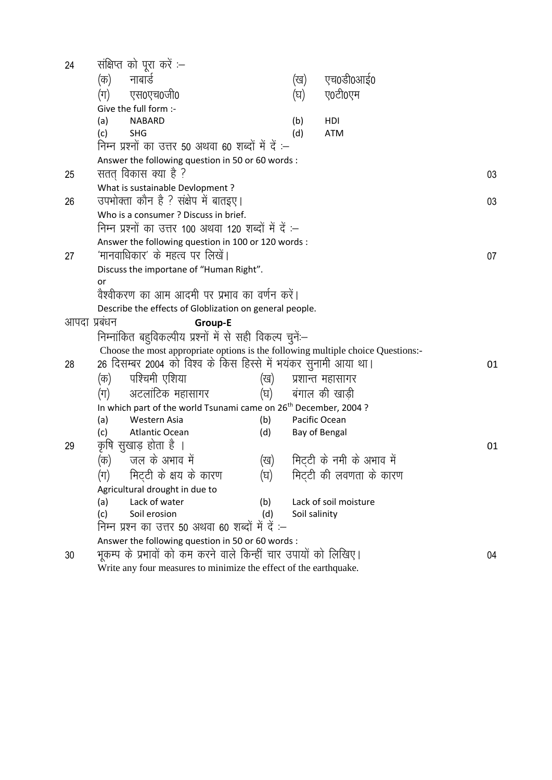| 24 |                                                                                                                      | संक्षिप्त को पूरा करें :-                                                        |            |               |                           |    |  |  |
|----|----------------------------------------------------------------------------------------------------------------------|----------------------------------------------------------------------------------|------------|---------------|---------------------------|----|--|--|
|    | (क)                                                                                                                  | नाबार्ड                                                                          |            | (ख)           | एच0डी0आई0                 |    |  |  |
|    | (ग)                                                                                                                  | एस0एच0जी0                                                                        |            | (घ)           | ए0टी0एम                   |    |  |  |
|    |                                                                                                                      | Give the full form :-                                                            |            |               |                           |    |  |  |
|    | (a)                                                                                                                  | <b>NABARD</b>                                                                    |            | (b)           | HDI                       |    |  |  |
|    | (c)                                                                                                                  | <b>SHG</b>                                                                       |            | (d)           | <b>ATM</b>                |    |  |  |
|    |                                                                                                                      | निम्न प्रश्नों का उत्तर 50 अथवा 60 शब्दों में दें :-                             |            |               |                           |    |  |  |
|    |                                                                                                                      | Answer the following question in 50 or 60 words :                                |            |               |                           |    |  |  |
| 25 |                                                                                                                      | सतत् विकास क्या है ?                                                             |            |               |                           | 03 |  |  |
|    |                                                                                                                      | What is sustainable Devlopment?                                                  |            |               |                           |    |  |  |
| 26 |                                                                                                                      | उपभोक्ता कौन है ? संक्षेप में बातइए।                                             |            |               |                           | 03 |  |  |
|    |                                                                                                                      | Who is a consumer? Discuss in brief.                                             |            |               |                           |    |  |  |
|    |                                                                                                                      | निम्न प्रश्नों का उत्तर 100 अथवा 120 शब्दों में दें :–                           |            |               |                           |    |  |  |
|    |                                                                                                                      | Answer the following question in 100 or 120 words :                              |            |               |                           |    |  |  |
| 27 |                                                                                                                      | 'मानवाधिकार' के महत्व पर लिखें।                                                  |            |               |                           | 07 |  |  |
|    |                                                                                                                      | Discuss the importane of "Human Right".                                          |            |               |                           |    |  |  |
|    | or                                                                                                                   |                                                                                  |            |               |                           |    |  |  |
|    | वैश्वीकरण का आम आदमी पर प्रभाव का वर्णन करें।                                                                        |                                                                                  |            |               |                           |    |  |  |
|    |                                                                                                                      | Describe the effects of Globlization on general people.                          |            |               |                           |    |  |  |
|    | आपदा प्रबंधन<br><b>Group-E</b>                                                                                       |                                                                                  |            |               |                           |    |  |  |
|    | निम्नांकित बहुविकल्पीय प्रश्नों में से सही विकल्प चुनें:--                                                           |                                                                                  |            |               |                           |    |  |  |
|    |                                                                                                                      | Choose the most appropriate options is the following multiple choice Questions:- |            |               |                           |    |  |  |
| 28 |                                                                                                                      | 26 दिसम्बर 2004 को विश्व के किस हिस्से में भयंकर सुनामी आया था।                  | 01         |               |                           |    |  |  |
|    | (क)                                                                                                                  | पश्चिमी एशिया                                                                    | (ख)        |               | प्रशान्त महासागर          |    |  |  |
|    | (ग)                                                                                                                  | अटलांटिक महासागर                                                                 |            |               | (घ) वंगाल की खाड़ी        |    |  |  |
|    |                                                                                                                      | In which part of the world Tsunami came on 26 <sup>th</sup> December, 2004?      |            |               |                           |    |  |  |
|    | (a)                                                                                                                  | Western Asia                                                                     | (b)        | Pacific Ocean |                           |    |  |  |
|    | (c)                                                                                                                  | <b>Atlantic Ocean</b>                                                            | (d)        | Bay of Bengal |                           |    |  |  |
| 29 |                                                                                                                      | कृषि सुखाड़ होता है ।                                                            |            |               |                           | 01 |  |  |
|    | (क)                                                                                                                  | जल के अभाव में                                                                   | (ख)        |               | मिट्टी के नमी के अभाव में |    |  |  |
|    | (ग)                                                                                                                  | मिट्टी के क्षय के कारण                                                           | (घ)        |               | मिट्टी की लवणता के कारण   |    |  |  |
|    | Agricultural drought in due to                                                                                       |                                                                                  |            |               |                           |    |  |  |
|    | (a)                                                                                                                  | Lack of water<br>Soil erosion                                                    | (b)<br>(d) |               | Lack of soil moisture     |    |  |  |
|    | (c)                                                                                                                  | Soil salinity                                                                    |            |               |                           |    |  |  |
|    |                                                                                                                      | निम्न प्रश्न का उत्तर 50 अथवा 60 शब्दों में दें :-                               |            |               |                           |    |  |  |
|    | Answer the following question in 50 or 60 words :<br>भूकम्प के प्रभावों को कम करने वाले किन्हीं चार उपायों को लिखिए। |                                                                                  |            |               |                           |    |  |  |
| 30 | 04<br>Write any four measures to minimize the effect of the earthquake.                                              |                                                                                  |            |               |                           |    |  |  |
|    |                                                                                                                      |                                                                                  |            |               |                           |    |  |  |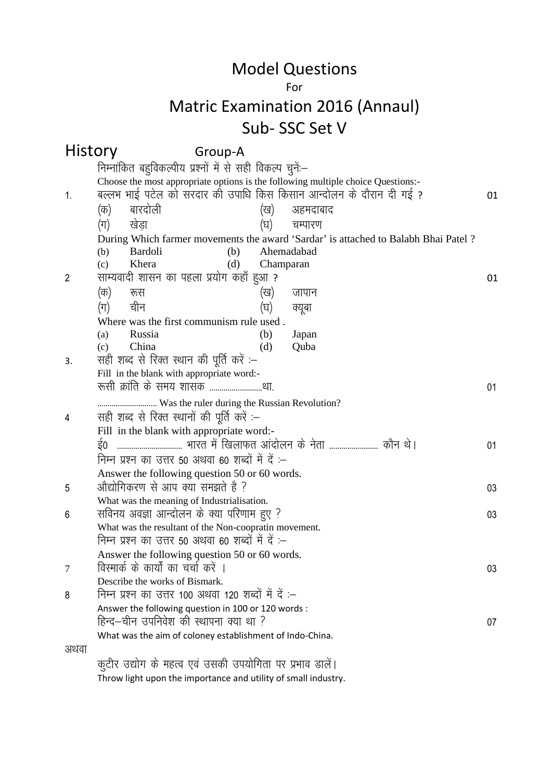#### For

## Matric Examination 2016 (Annaul) Sub- SSC Set V

| History        | Group-A                                                                                       |           |                                                                                     |    |  |  |  |
|----------------|-----------------------------------------------------------------------------------------------|-----------|-------------------------------------------------------------------------------------|----|--|--|--|
|                | निम्नांकित बहुविकल्पीय प्रश्नों में से सही विकल्प चुनें:--                                    |           |                                                                                     |    |  |  |  |
|                | Choose the most appropriate options is the following multiple choice Questions:-              |           |                                                                                     |    |  |  |  |
| $\mathbf{1}$ . | बल्लभ भाई पटेल को सरदार की उपाधि किस किसान आन्दोलन के दौरान दी गई ?                           |           |                                                                                     | 01 |  |  |  |
|                | बारदोली<br>(क)                                                                                | (ख)       | अहमदाबाद                                                                            |    |  |  |  |
|                | (ग)<br>खेडा                                                                                   | (घ)       | चम्पारण                                                                             |    |  |  |  |
|                |                                                                                               |           | During Which farmer movements the award 'Sardar' is attached to Balabh Bhai Patel ? |    |  |  |  |
|                | <b>Bardoli</b><br>(b)<br>(b)                                                                  |           | Ahemadabad                                                                          |    |  |  |  |
|                | Khera<br>(c)<br>(d)                                                                           | Champaran |                                                                                     |    |  |  |  |
| $\overline{2}$ | साम्यवादी शासन का पहला प्रयोग कहाँ हुआ ?                                                      |           |                                                                                     | 01 |  |  |  |
|                | (क)<br>रूस                                                                                    | (ख)       | जापान                                                                               |    |  |  |  |
|                | चीन<br>$(\pi)$                                                                                | (घ)       | क्यूबा                                                                              |    |  |  |  |
|                | Where was the first communism rule used.                                                      |           |                                                                                     |    |  |  |  |
|                | Russia<br>(a)                                                                                 | (b)       | Japan                                                                               |    |  |  |  |
|                | China<br>(c)<br>सही शब्द से रिक्त स्थान की पूर्ति करें :-                                     | (d)       | Quba                                                                                |    |  |  |  |
| 3.             | Fill in the blank with appropriate word:-                                                     |           |                                                                                     |    |  |  |  |
|                | रूसी क्रांति के समय शासक था.                                                                  |           |                                                                                     | 01 |  |  |  |
|                | Was the ruler during the Russian Revolution?                                                  |           |                                                                                     |    |  |  |  |
| 4              | सही शब्द से रिक्त स्थानों की पूर्ति करें :–                                                   |           |                                                                                     |    |  |  |  |
|                | Fill in the blank with appropriate word:-                                                     |           |                                                                                     |    |  |  |  |
|                |                                                                                               |           |                                                                                     | 01 |  |  |  |
|                | निम्न प्रश्न का उत्तर 50 अथवा 60 शब्दों में दें :-                                            |           |                                                                                     |    |  |  |  |
|                | Answer the following question 50 or 60 words.                                                 |           |                                                                                     |    |  |  |  |
| 5              | औद्योगिकरण से आप क्या समझते है ?                                                              |           |                                                                                     | 03 |  |  |  |
|                | What was the meaning of Industrialisation.                                                    |           |                                                                                     |    |  |  |  |
| 6              | सविनय अवज्ञा आन्दोलन के क्या परिणाम हुए ?                                                     |           |                                                                                     | 03 |  |  |  |
|                | What was the resultant of the Non-coopratin movement.                                         |           |                                                                                     |    |  |  |  |
|                | निम्न प्रश्न का उत्तर 50 अथवा 60 शब्दों में दें :–                                            |           |                                                                                     |    |  |  |  |
|                | Answer the following question 50 or 60 words.                                                 |           |                                                                                     |    |  |  |  |
| 7              | विस्मार्क के कार्यों का चर्चा करें ।                                                          |           |                                                                                     | 03 |  |  |  |
|                | Describe the works of Bismark.                                                                |           |                                                                                     |    |  |  |  |
| 8              | निम्न प्रश्न का उत्तर 100 अथवा 120 शब्दों में दें :–                                          |           |                                                                                     |    |  |  |  |
|                | Answer the following question in 100 or 120 words :<br>हिन्द–चीन उपनिवेश की स्थापना क्या था ? |           |                                                                                     |    |  |  |  |
|                | What was the aim of coloney establishment of Indo-China.                                      |           |                                                                                     | 07 |  |  |  |
| अथवा           |                                                                                               |           |                                                                                     |    |  |  |  |
|                | कुटीर उद्योग के महत्व एवं उसकी उपयोगिता पर प्रभाव डालें।                                      |           |                                                                                     |    |  |  |  |
|                | Throw light upon the importance and utility of small industry.                                |           |                                                                                     |    |  |  |  |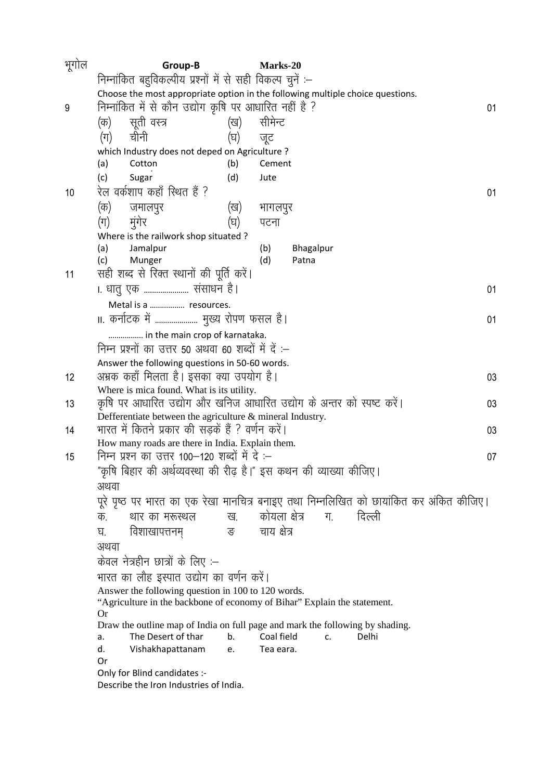| Choose the most appropriate option in the following multiple choice questions.                 |  |  |  |  |  |  |
|------------------------------------------------------------------------------------------------|--|--|--|--|--|--|
| 01                                                                                             |  |  |  |  |  |  |
|                                                                                                |  |  |  |  |  |  |
|                                                                                                |  |  |  |  |  |  |
|                                                                                                |  |  |  |  |  |  |
|                                                                                                |  |  |  |  |  |  |
|                                                                                                |  |  |  |  |  |  |
| 01                                                                                             |  |  |  |  |  |  |
|                                                                                                |  |  |  |  |  |  |
|                                                                                                |  |  |  |  |  |  |
|                                                                                                |  |  |  |  |  |  |
|                                                                                                |  |  |  |  |  |  |
|                                                                                                |  |  |  |  |  |  |
| 01                                                                                             |  |  |  |  |  |  |
|                                                                                                |  |  |  |  |  |  |
| 01                                                                                             |  |  |  |  |  |  |
|                                                                                                |  |  |  |  |  |  |
|                                                                                                |  |  |  |  |  |  |
|                                                                                                |  |  |  |  |  |  |
| 03                                                                                             |  |  |  |  |  |  |
|                                                                                                |  |  |  |  |  |  |
| 03                                                                                             |  |  |  |  |  |  |
| 03                                                                                             |  |  |  |  |  |  |
|                                                                                                |  |  |  |  |  |  |
| 07                                                                                             |  |  |  |  |  |  |
|                                                                                                |  |  |  |  |  |  |
|                                                                                                |  |  |  |  |  |  |
| पूरे पृष्ठ पर भारत का एक रेखा मानचित्र बनाइए तथा निम्नलिखित को छायांकित कर अंकित कीजिए।        |  |  |  |  |  |  |
|                                                                                                |  |  |  |  |  |  |
|                                                                                                |  |  |  |  |  |  |
|                                                                                                |  |  |  |  |  |  |
|                                                                                                |  |  |  |  |  |  |
|                                                                                                |  |  |  |  |  |  |
| भारत का लौह इस्पात उद्योग का वर्णन करें।<br>Answer the following question in 100 to 120 words. |  |  |  |  |  |  |
| "Agriculture in the backbone of economy of Bihar" Explain the statement.                       |  |  |  |  |  |  |
| <b>Or</b><br>Draw the outline map of India on full page and mark the following by shading.     |  |  |  |  |  |  |
|                                                                                                |  |  |  |  |  |  |
|                                                                                                |  |  |  |  |  |  |
|                                                                                                |  |  |  |  |  |  |
|                                                                                                |  |  |  |  |  |  |
| कृषि पर आधारित उद्योग और खनिज आधारित उद्योग के अन्तर को स्पष्ट करें।                           |  |  |  |  |  |  |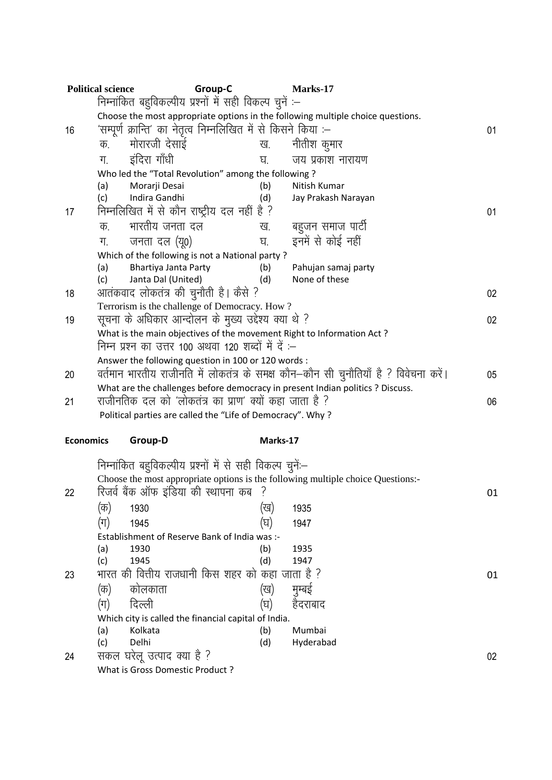|                                                                                         | <b>Political science</b>                                                        | Group-C                                                                        |            | Marks-17                                                                             |    |  |  |  |
|-----------------------------------------------------------------------------------------|---------------------------------------------------------------------------------|--------------------------------------------------------------------------------|------------|--------------------------------------------------------------------------------------|----|--|--|--|
|                                                                                         |                                                                                 | निम्नांकित बहुविकल्पीय प्रश्नों में सही विकल्प चुनें :–                        |            |                                                                                      |    |  |  |  |
|                                                                                         | Choose the most appropriate options in the following multiple choice questions. |                                                                                |            |                                                                                      |    |  |  |  |
| 16                                                                                      |                                                                                 | 'सम्पूर्ण क्रान्ति' का नेतृत्व निम्नलिखित में से किसने किया :–                 |            |                                                                                      |    |  |  |  |
|                                                                                         | क.                                                                              | मोरारजी देसाई                                                                  | ख.         | नीतीश कुमार                                                                          |    |  |  |  |
|                                                                                         | ग.                                                                              | इंदिरा गाँधी                                                                   | घ.         | जय प्रकाश नारायण                                                                     |    |  |  |  |
|                                                                                         |                                                                                 | Who led the "Total Revolution" among the following?                            |            |                                                                                      |    |  |  |  |
|                                                                                         | (a)                                                                             | Morarji Desai                                                                  | (b)        | Nitish Kumar                                                                         |    |  |  |  |
|                                                                                         | (c)                                                                             | Indira Gandhi                                                                  | (d)        | Jay Prakash Narayan                                                                  |    |  |  |  |
| 17                                                                                      | निम्नलिखित में से कौन राष्ट्रीय दल नहीं है ?                                    |                                                                                | 01         |                                                                                      |    |  |  |  |
|                                                                                         | क.                                                                              | भारतीय जनता दल                                                                 | ख.         | बहुजन समाज पार्टी                                                                    |    |  |  |  |
|                                                                                         | ग.                                                                              | जनता दल (यू०)                                                                  | घ.         | इनमें से कोई नहीं                                                                    |    |  |  |  |
|                                                                                         |                                                                                 | Which of the following is not a National party?                                |            |                                                                                      |    |  |  |  |
|                                                                                         | (a)                                                                             | Bhartiya Janta Party                                                           | (b)        | Pahujan samaj party                                                                  |    |  |  |  |
|                                                                                         | (c)                                                                             | Janta Dal (United)                                                             | (d)        | None of these                                                                        |    |  |  |  |
| 18                                                                                      |                                                                                 | आतंकवाद लोकतंत्र की चुनौती है। कैसे ?                                          |            |                                                                                      | 02 |  |  |  |
|                                                                                         |                                                                                 | Terrorism is the challenge of Democracy. How?                                  |            |                                                                                      |    |  |  |  |
| 19                                                                                      |                                                                                 | सूचना के अधिकार आन्दोलन के मुख्य उद्देश्य क्या थे ?                            |            |                                                                                      | 02 |  |  |  |
|                                                                                         |                                                                                 | What is the main objectives of the movement Right to Information Act?          |            |                                                                                      |    |  |  |  |
|                                                                                         |                                                                                 | निम्न प्रश्न का उत्तर 100 अथवा 120 शब्दों में दें :–                           |            |                                                                                      |    |  |  |  |
|                                                                                         |                                                                                 | Answer the following question in 100 or 120 words :                            |            |                                                                                      |    |  |  |  |
| 20                                                                                      |                                                                                 |                                                                                |            | वर्तमान भारतीय राजीनति में लोकतंत्र के समक्ष कौन—कौन सी चुनौतियाँ है ? विवेचना करें। | 05 |  |  |  |
|                                                                                         |                                                                                 | What are the challenges before democracy in present Indian politics ? Discuss. |            |                                                                                      |    |  |  |  |
| 21                                                                                      | राजीनतिक दल को 'लोकतंत्र का प्राण' क्यों कहा जाता है ?                          | 06                                                                             |            |                                                                                      |    |  |  |  |
|                                                                                         |                                                                                 | Political parties are called the "Life of Democracy". Why?                     |            |                                                                                      |    |  |  |  |
| <b>Economics</b>                                                                        |                                                                                 | Group-D                                                                        | Marks-17   |                                                                                      |    |  |  |  |
|                                                                                         |                                                                                 | निम्नांकित बहुविकल्पीय प्रश्नों में से सही विकल्प चुनें:–                      |            |                                                                                      |    |  |  |  |
|                                                                                         |                                                                                 |                                                                                |            | Choose the most appropriate options is the following multiple choice Questions:-     |    |  |  |  |
| 22                                                                                      |                                                                                 | रिजर्व बैंक ऑफ इंडिया की स्थापना कब                                            |            |                                                                                      | 01 |  |  |  |
|                                                                                         | (क)                                                                             | 1930                                                                           | (ख)        | 1935                                                                                 |    |  |  |  |
|                                                                                         |                                                                                 | 1945                                                                           | (घ)        | 1947                                                                                 |    |  |  |  |
|                                                                                         | (ग)                                                                             |                                                                                |            |                                                                                      |    |  |  |  |
|                                                                                         | Establishment of Reserve Bank of India was :-<br>(a)                            |                                                                                |            |                                                                                      |    |  |  |  |
|                                                                                         | (c)                                                                             | 1930<br>1945                                                                   | (b)<br>(d) | 1935<br>1947                                                                         |    |  |  |  |
| 23                                                                                      |                                                                                 | भारत की वित्तीय राजधानी किस शहर को कहा जाता है ?                               |            |                                                                                      | 01 |  |  |  |
|                                                                                         | (क)                                                                             | कोलकाता                                                                        | (ख)        | मुम्बई                                                                               |    |  |  |  |
|                                                                                         | (ग)                                                                             | दिल्ली                                                                         | (घ)        | हैदराबाद                                                                             |    |  |  |  |
|                                                                                         |                                                                                 |                                                                                |            |                                                                                      |    |  |  |  |
| Which city is called the financial capital of India.<br>Mumbai<br>(a)<br>Kolkata<br>(b) |                                                                                 |                                                                                |            |                                                                                      |    |  |  |  |
|                                                                                         | (c)                                                                             | Delhi                                                                          | (d)        | Hyderabad                                                                            |    |  |  |  |
| 24                                                                                      | सकल                                                                             | घरेलू उत्पाद क्या है ?                                                         |            |                                                                                      | 02 |  |  |  |
|                                                                                         |                                                                                 | What is Gross Domestic Product?                                                |            |                                                                                      |    |  |  |  |